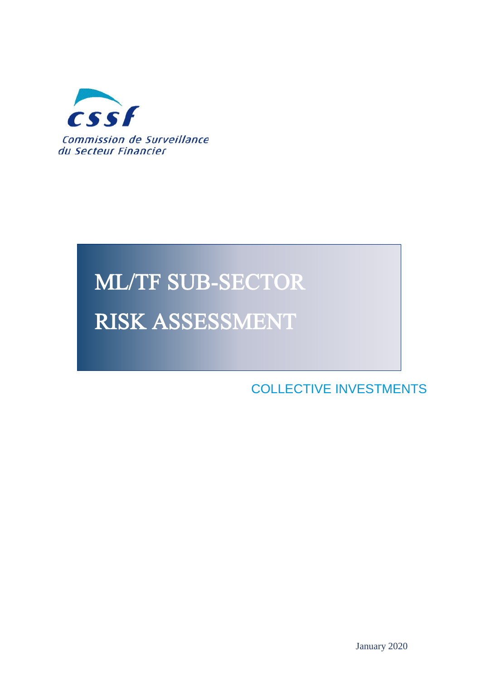

# **ML/TF SUB-SECTOR RISK ASSESSMENT**

**ASSESSMENTS** COLLECTIVE INVESTMENTS

**SUB-SECTOR RISK**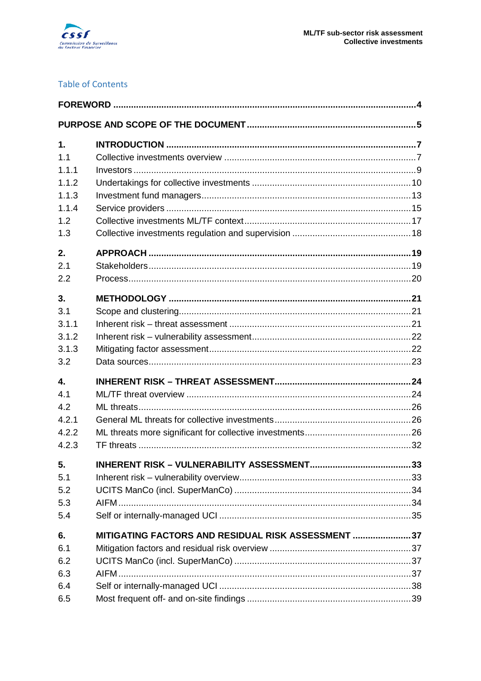

#### **Table of Contents**

| 1.<br>1.1 |                                                     |  |
|-----------|-----------------------------------------------------|--|
| 1.1.1     |                                                     |  |
| 1.1.2     |                                                     |  |
| 1.1.3     |                                                     |  |
| 1.1.4     |                                                     |  |
| 1.2       |                                                     |  |
| 1.3       |                                                     |  |
| 2.        |                                                     |  |
| 2.1       |                                                     |  |
| 2.2       |                                                     |  |
| 3.        |                                                     |  |
| 3.1       |                                                     |  |
| 3.1.1     |                                                     |  |
| 3.1.2     |                                                     |  |
| 3.1.3     |                                                     |  |
| 3.2       |                                                     |  |
| 4.        |                                                     |  |
| 4.1       |                                                     |  |
| 4.2       |                                                     |  |
| 4.2.1     |                                                     |  |
| 4.2.2     |                                                     |  |
| 4.2.3     |                                                     |  |
| 5.        |                                                     |  |
| 5.1       |                                                     |  |
| 5.2       |                                                     |  |
| 5.3       |                                                     |  |
| 5.4       |                                                     |  |
| 6.        | MITIGATING FACTORS AND RESIDUAL RISK ASSESSMENT  37 |  |
| 6.1       |                                                     |  |
| 6.2       |                                                     |  |
| 6.3       |                                                     |  |
| 6.4       |                                                     |  |
| 6.5       |                                                     |  |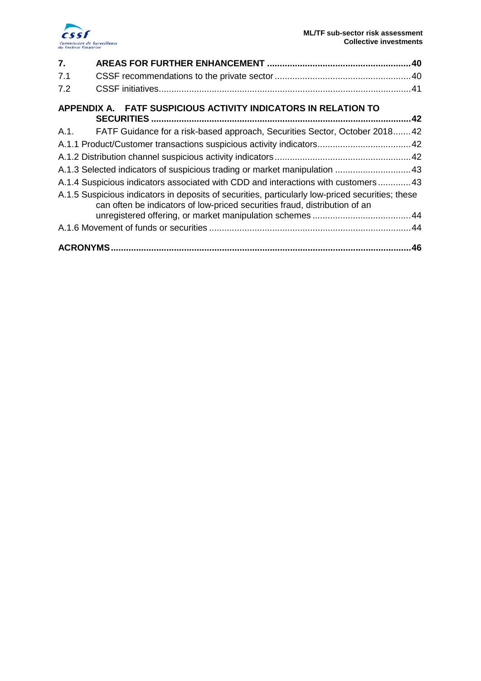

| $\overline{7}$ . |                                                                                                                                                                                |  |
|------------------|--------------------------------------------------------------------------------------------------------------------------------------------------------------------------------|--|
| 7.1              |                                                                                                                                                                                |  |
| 7.2              |                                                                                                                                                                                |  |
|                  | APPENDIX A. FATF SUSPICIOUS ACTIVITY INDICATORS IN RELATION TO                                                                                                                 |  |
|                  | A.1. FATF Guidance for a risk-based approach, Securities Sector, October 2018 42                                                                                               |  |
|                  | A.1.1 Product/Customer transactions suspicious activity indicators 42                                                                                                          |  |
|                  |                                                                                                                                                                                |  |
|                  | A.1.3 Selected indicators of suspicious trading or market manipulation  43                                                                                                     |  |
|                  | A.1.4 Suspicious indicators associated with CDD and interactions with customers  43                                                                                            |  |
|                  | A.1.5 Suspicious indicators in deposits of securities, particularly low-priced securities; these<br>can often be indicators of low-priced securities fraud, distribution of an |  |
|                  |                                                                                                                                                                                |  |
|                  |                                                                                                                                                                                |  |
|                  |                                                                                                                                                                                |  |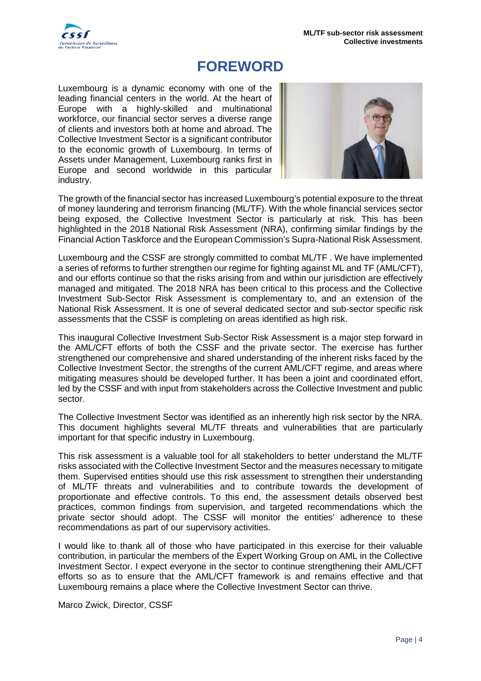

# <span id="page-3-0"></span>**FOREWORD**

Luxembourg is a dynamic economy with one of the leading financial centers in the world. At the heart of Europe with a highly-skilled and multinational workforce, our financial sector serves a diverse range of clients and investors both at home and abroad. The Collective Investment Sector is a significant contributor to the economic growth of Luxembourg. In terms of Assets under Management, Luxembourg ranks first in Europe and second worldwide in this particular industry.



The growth of the financial sector has increased Luxembourg's potential exposure to the threat of money laundering and terrorism financing (ML/TF). With the whole financial services sector being exposed, the Collective Investment Sector is particularly at risk. This has been highlighted in the 2018 National Risk Assessment (NRA), confirming similar findings by the Financial Action Taskforce and the European Commission's Supra-National Risk Assessment.

Luxembourg and the CSSF are strongly committed to combat ML/TF . We have implemented a series of reforms to further strengthen our regime for fighting against ML and TF (AML/CFT), and our efforts continue so that the risks arising from and within our jurisdiction are effectively managed and mitigated. The 2018 NRA has been critical to this process and the Collective Investment Sub-Sector Risk Assessment is complementary to, and an extension of the National Risk Assessment. It is one of several dedicated sector and sub-sector specific risk assessments that the CSSF is completing on areas identified as high risk.

This inaugural Collective Investment Sub-Sector Risk Assessment is a major step forward in the AML/CFT efforts of both the CSSF and the private sector. The exercise has further strengthened our comprehensive and shared understanding of the inherent risks faced by the Collective Investment Sector, the strengths of the current AML/CFT regime, and areas where mitigating measures should be developed further. It has been a joint and coordinated effort, led by the CSSF and with input from stakeholders across the Collective Investment and public sector.

The Collective Investment Sector was identified as an inherently high risk sector by the NRA. This document highlights several ML/TF threats and vulnerabilities that are particularly important for that specific industry in Luxembourg.

This risk assessment is a valuable tool for all stakeholders to better understand the ML/TF risks associated with the Collective Investment Sector and the measures necessary to mitigate them. Supervised entities should use this risk assessment to strengthen their understanding of ML/TF threats and vulnerabilities and to contribute towards the development of proportionate and effective controls. To this end, the assessment details observed best practices, common findings from supervision, and targeted recommendations which the private sector should adopt. The CSSF will monitor the entities' adherence to these recommendations as part of our supervisory activities.

I would like to thank all of those who have participated in this exercise for their valuable contribution, in particular the members of the Expert Working Group on AML in the Collective Investment Sector. I expect everyone in the sector to continue strengthening their AML/CFT efforts so as to ensure that the AML/CFT framework is and remains effective and that Luxembourg remains a place where the Collective Investment Sector can thrive.

Marco Zwick, Director, CSSF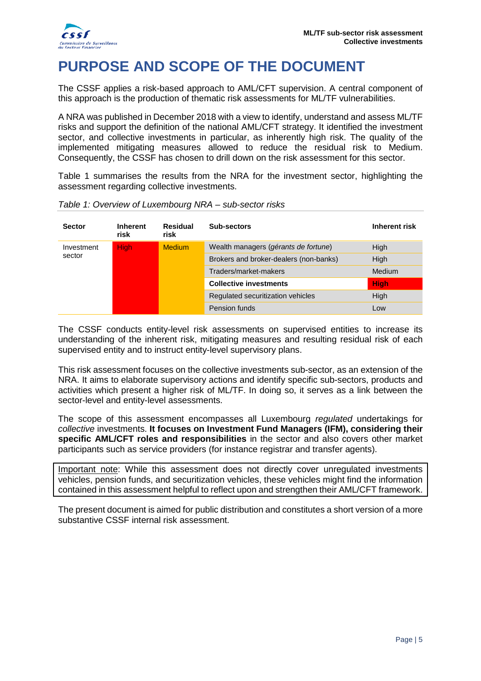

# <span id="page-4-0"></span>**PURPOSE AND SCOPE OF THE DOCUMENT**

The CSSF applies a risk-based approach to AML/CFT supervision. A central component of this approach is the production of thematic risk assessments for ML/TF vulnerabilities.

A NRA was published in December 2018 with a view to identify, understand and assess ML/TF risks and support the definition of the national AML/CFT strategy. It identified the investment sector, and collective investments in particular, as inherently high risk. The quality of the implemented mitigating measures allowed to reduce the residual risk to Medium. Consequently, the CSSF has chosen to drill down on the risk assessment for this sector.

[Table 1](#page-4-1) summarises the results from the NRA for the investment sector, highlighting the assessment regarding collective investments.

| <b>Sector</b> | <b>Inherent</b><br>risk | Residual<br>risk | Sub-sectors                            | Inherent risk |
|---------------|-------------------------|------------------|----------------------------------------|---------------|
| Investment    | <b>High</b>             | <b>Medium</b>    | Wealth managers (gérants de fortune)   | High          |
| sector        |                         |                  | Brokers and broker-dealers (non-banks) | High          |
|               |                         |                  | Traders/market-makers                  | <b>Medium</b> |
|               |                         |                  | <b>Collective investments</b>          | <b>High</b>   |
|               |                         |                  | Regulated securitization vehicles      | High          |
|               |                         |                  | Pension funds                          | Low           |

<span id="page-4-1"></span>*Table 1: Overview of Luxembourg NRA – sub-sector risks*

The CSSF conducts entity-level risk assessments on supervised entities to increase its understanding of the inherent risk, mitigating measures and resulting residual risk of each supervised entity and to instruct entity-level supervisory plans.

This risk assessment focuses on the collective investments sub-sector, as an extension of the NRA. It aims to elaborate supervisory actions and identify specific sub-sectors, products and activities which present a higher risk of ML/TF. In doing so, it serves as a link between the sector-level and entity-level assessments.

The scope of this assessment encompasses all Luxembourg *regulated* undertakings for *collective* investments. **It focuses on Investment Fund Managers (IFM), considering their specific AML/CFT roles and responsibilities** in the sector and also covers other market participants such as service providers (for instance registrar and transfer agents).

Important note: While this assessment does not directly cover unregulated investments vehicles, pension funds, and securitization vehicles, these vehicles might find the information contained in this assessment helpful to reflect upon and strengthen their AML/CFT framework.

The present document is aimed for public distribution and constitutes a short version of a more substantive CSSF internal risk assessment.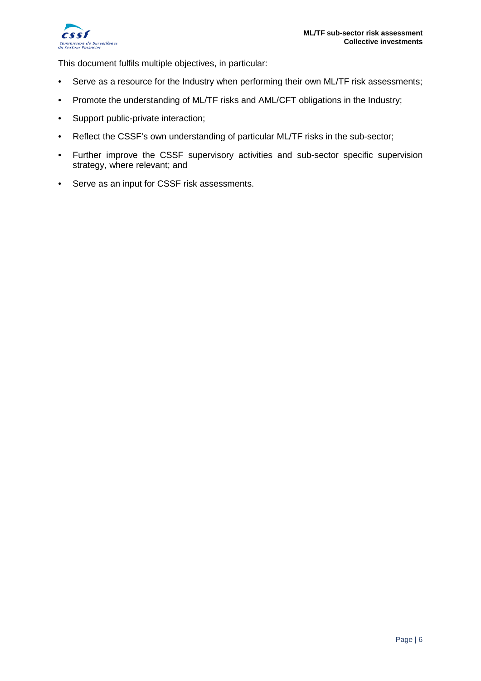

This document fulfils multiple objectives, in particular:

- Serve as a resource for the Industry when performing their own ML/TF risk assessments;
- Promote the understanding of ML/TF risks and AML/CFT obligations in the Industry;
- Support public-private interaction;
- Reflect the CSSF's own understanding of particular ML/TF risks in the sub-sector;
- Further improve the CSSF supervisory activities and sub-sector specific supervision strategy, where relevant; and
- Serve as an input for CSSF risk assessments.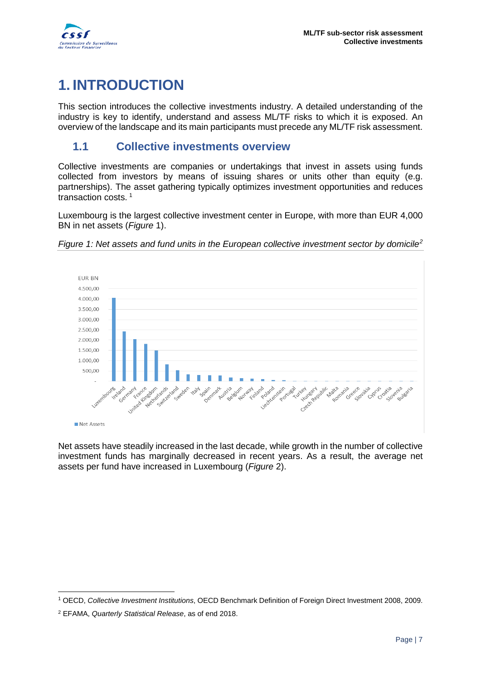

# <span id="page-6-0"></span>**1. INTRODUCTION**

This section introduces the collective investments industry. A detailed understanding of the industry is key to identify, understand and assess ML/TF risks to which it is exposed. An overview of the landscape and its main participants must precede any ML/TF risk assessment.

### <span id="page-6-1"></span>**1.1 Collective investments overview**

Collective investments are companies or undertakings that invest in assets using funds collected from investors by means of issuing shares or units other than equity (e.g. partnerships). The asset gathering typically optimizes investment opportunities and reduces transaction costs. [1](#page-6-3)

Luxembourg is the largest collective investment center in Europe, with more than EUR 4,000 BN in net assets (*[Figure](#page-6-2)* 1).



<span id="page-6-2"></span>*Figure 1: Net assets and fund units in the European collective investment sector by domicile[2](#page-6-4)*

Net assets have steadily increased in the last decade, while growth in the number of collective investment funds has marginally decreased in recent years. As a result, the average net assets per fund have increased in Luxembourg (*[Figure](#page-7-0)* 2).

<span id="page-6-3"></span><sup>-</sup><sup>1</sup> OECD, *Collective Investment Institutions*, OECD Benchmark Definition of Foreign Direct Investment 2008, 2009.

<span id="page-6-4"></span><sup>2</sup> EFAMA, *Quarterly Statistical Release*, as of end 2018.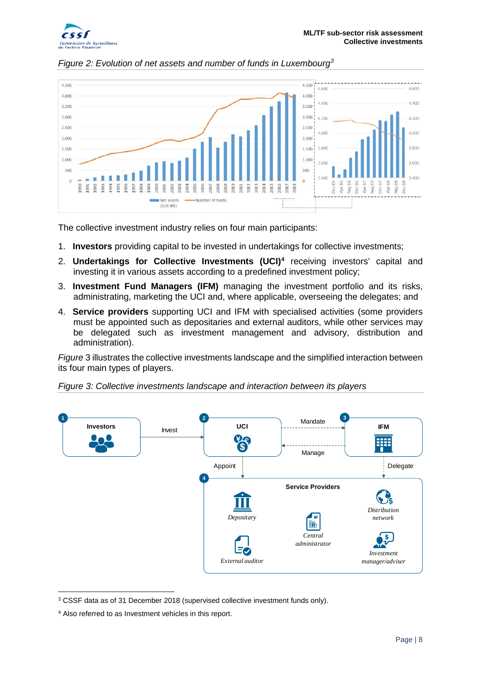



<span id="page-7-0"></span>*Figure 2: Evolution of net assets and number of funds in Luxembourg[3](#page-7-1)*

The collective investment industry relies on four main participants:

- 1. **Investors** providing capital to be invested in undertakings for collective investments;
- 2. **Undertakings for Collective Investments (UCI)[4](#page-7-2)** receiving investors' capital and investing it in various assets according to a predefined investment policy;
- 3. **Investment Fund Managers (IFM)** managing the investment portfolio and its risks, administrating, marketing the UCI and, where applicable, overseeing the delegates; and
- 4. **Service providers** supporting UCI and IFM with specialised activities (some providers must be appointed such as depositaries and external auditors, while other services may be delegated such as investment management and advisory, distribution and administration).

*Figure* 3 illustrates the collective investments landscape and the simplified interaction between its four main types of players.





<span id="page-7-1"></span><sup>-</sup><sup>3</sup> CSSF data as of 31 December 2018 (supervised collective investment funds only).

<span id="page-7-2"></span><sup>4</sup> Also referred to as Investment vehicles in this report.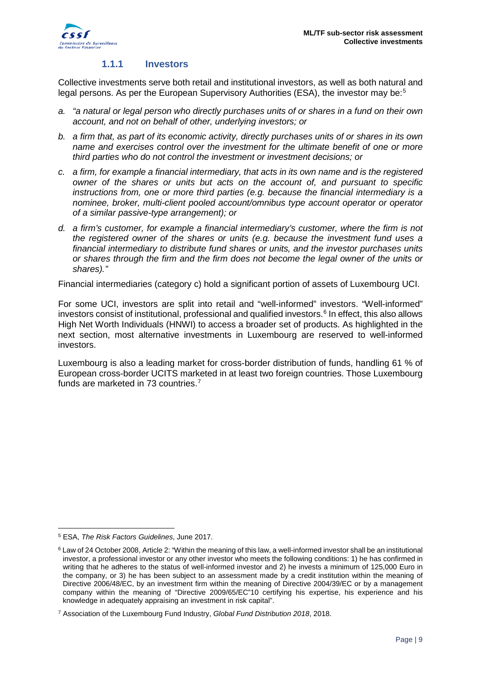

#### **1.1.1 Investors**

<span id="page-8-0"></span>Collective investments serve both retail and institutional investors, as well as both natural and legal persons. As per the European Supervisory Authorities (ESA), the investor may be:<sup>[5](#page-8-1)</sup>

- *a. "a natural or legal person who directly purchases units of or shares in a fund on their own account, and not on behalf of other, underlying investors; or*
- *b. a firm that, as part of its economic activity, directly purchases units of or shares in its own name and exercises control over the investment for the ultimate benefit of one or more third parties who do not control the investment or investment decisions; or*
- *c. a firm, for example a financial intermediary, that acts in its own name and is the registered owner of the shares or units but acts on the account of, and pursuant to specific instructions from, one or more third parties (e.g. because the financial intermediary is a nominee, broker, multi-client pooled account/omnibus type account operator or operator of a similar passive-type arrangement); or*
- *d. a firm's customer, for example a financial intermediary's customer, where the firm is not the registered owner of the shares or units (e.g. because the investment fund uses a financial intermediary to distribute fund shares or units, and the investor purchases units or shares through the firm and the firm does not become the legal owner of the units or shares)."*

Financial intermediaries (category c) hold a significant portion of assets of Luxembourg UCI.

For some UCI, investors are split into retail and "well-informed" investors. "Well-informed" investors consist of institutional, professional and qualified investors.<sup>[6](#page-8-2)</sup> In effect, this also allows High Net Worth Individuals (HNWI) to access a broader set of products. As highlighted in the next section, most alternative investments in Luxembourg are reserved to well-informed investors.

Luxembourg is also a leading market for cross-border distribution of funds, handling 61 % of European cross-border UCITS marketed in at least two foreign countries. Those Luxembourg funds are marketed in [7](#page-8-3)3 countries.<sup>7</sup>

<u>.</u>

<span id="page-8-1"></span><sup>5</sup> ESA, *The Risk Factors Guidelines*, June 2017.

<span id="page-8-2"></span><sup>6</sup> Law of 24 October 2008, Article 2: "Within the meaning of this law, a well-informed investor shall be an institutional investor, a professional investor or any other investor who meets the following conditions: 1) he has confirmed in writing that he adheres to the status of well-informed investor and 2) he invests a minimum of 125,000 Euro in the company, or 3) he has been subject to an assessment made by a credit institution within the meaning of Directive 2006/48/EC, by an investment firm within the meaning of Directive 2004/39/EC or by a management company within the meaning of "Directive 2009/65/EC"10 certifying his expertise, his experience and his knowledge in adequately appraising an investment in risk capital".

<span id="page-8-3"></span><sup>7</sup> Association of the Luxembourg Fund Industry, *Global Fund Distribution 2018*, 2018.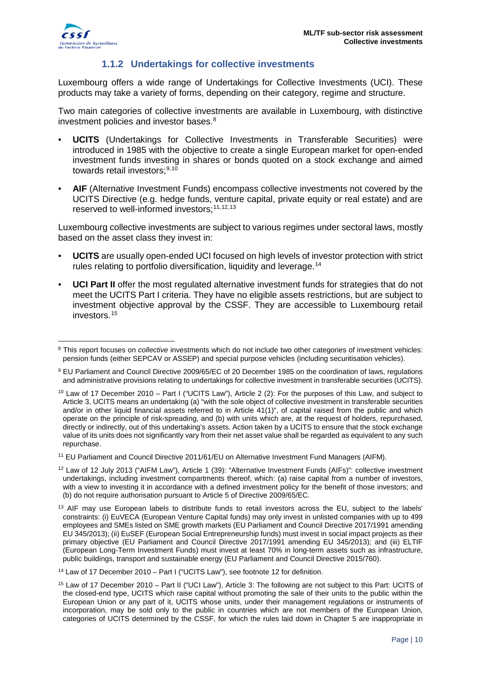

#### **1.1.2 Undertakings for collective investments**

<span id="page-9-0"></span>Luxembourg offers a wide range of Undertakings for Collective Investments (UCI). These products may take a variety of forms, depending on their category, regime and structure.

Two main categories of collective investments are available in Luxembourg, with distinctive investment policies and investor bases. [8](#page-9-1)

- **UCITS** (Undertakings for Collective Investments in Transferable Securities) were introduced in 1985 with the objective to create a single European market for open-ended investment funds investing in shares or bonds quoted on a stock exchange and aimed towards retail investors:<sup>[9,](#page-9-2)[10](#page-9-3)</sup>
- **AIF** (Alternative Investment Funds) encompass collective investments not covered by the UCITS Directive (e.g. hedge funds, venture capital, private equity or real estate) and are reserved to well-informed investors: [11,](#page-9-4) [12,](#page-9-5) [13](#page-9-6)

Luxembourg collective investments are subject to various regimes under sectoral laws, mostly based on the asset class they invest in:

- **UCITS** are usually open-ended UCI focused on high levels of investor protection with strict rules relating to portfolio diversification, liquidity and leverage.<sup>[14](#page-9-7)</sup>
- **UCI Part II** offer the most regulated alternative investment funds for strategies that do not meet the UCITS Part I criteria. They have no eligible assets restrictions, but are subject to investment objective approval by the CSSF. They are accessible to Luxembourg retail investors.<sup>[15](#page-9-8)</sup>

<span id="page-9-1"></span><sup>&</sup>lt;u>.</u> <sup>8</sup> This report focuses on *collective* investments which do not include two other categories of investment vehicles: pension funds (either SEPCAV or ASSEP) and special purpose vehicles (including securitisation vehicles).

<span id="page-9-2"></span><sup>9</sup> EU Parliament and Council Directive 2009/65/EC of 20 December 1985 on the coordination of laws, regulations and administrative provisions relating to undertakings for collective investment in transferable securities (UCITS).

<span id="page-9-3"></span><sup>&</sup>lt;sup>10</sup> Law of 17 December 2010 – Part I ("UCITS Law"), Article 2 (2): For the purposes of this Law, and subject to Article 3, UCITS means an undertaking (a) "with the sole object of collective investment in transferable securities and/or in other liquid financial assets referred to in Article 41(1)", of capital raised from the public and which operate on the principle of risk-spreading, and (b) with units which are, at the request of holders, repurchased, directly or indirectly, out of this undertaking's assets. Action taken by a UCITS to ensure that the stock exchange value of its units does not significantly vary from their net asset value shall be regarded as equivalent to any such repurchase.

<span id="page-9-4"></span><sup>11</sup> EU Parliament and Council Directive 2011/61/EU on Alternative Investment Fund Managers (AIFM).

<span id="page-9-5"></span><sup>&</sup>lt;sup>12</sup> Law of 12 July 2013 ("AIFM Law"), Article 1 (39): "Alternative Investment Funds (AIFs)": collective investment undertakings, including investment compartments thereof, which: (a) raise capital from a number of investors, with a view to investing it in accordance with a defined investment policy for the benefit of those investors; and (b) do not require authorisation pursuant to Article 5 of Directive 2009/65/EC.

<span id="page-9-6"></span><sup>&</sup>lt;sup>13</sup> AIF may use European labels to distribute funds to retail investors across the EU, subject to the labels' constraints: (i) EuVECA (European Venture Capital funds) may only invest in unlisted companies with up to 499 employees and SMEs listed on SME growth markets (EU Parliament and Council Directive 2017/1991 amending EU 345/2013); (ii) EuSEF (European Social Entrepreneurship funds) must invest in social impact projects as their primary objective (EU Parliament and Council Directive 2017/1991 amending EU 345/2013); and (iii) ELTIF (European Long-Term Investment Funds) must invest at least 70% in long-term assets such as infrastructure, public buildings, transport and sustainable energy (EU Parliament and Council Directive 2015/760).

<span id="page-9-7"></span><sup>14</sup> Law of 17 December 2010 – Part I ("UCITS Law"), see footnote 12 for definition.

<span id="page-9-8"></span><sup>15</sup> Law of 17 December 2010 – Part II ("UCI Law"), Article 3: The following are not subject to this Part: UCITS of the closed-end type, UCITS which raise capital without promoting the sale of their units to the public within the European Union or any part of it, UCITS whose units, under their management regulations or instruments of incorporation, may be sold only to the public in countries which are not members of the European Union, categories of UCITS determined by the CSSF, for which the rules laid down in Chapter 5 are inappropriate in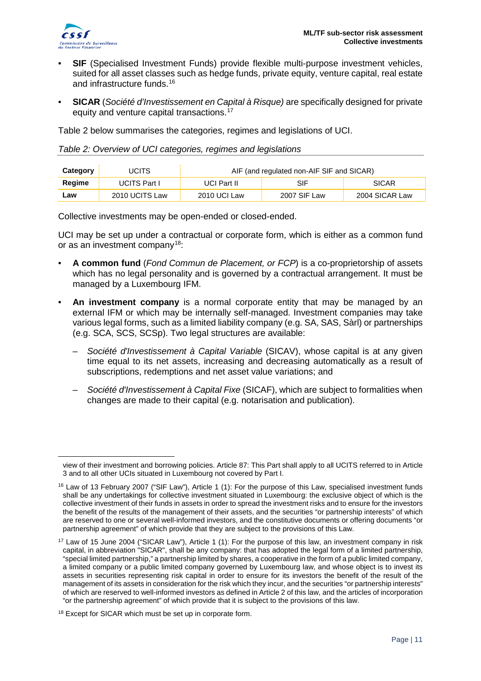

<u>.</u>

- **SIF** (Specialised Investment Funds) provide flexible multi-purpose investment vehicles, suited for all asset classes such as hedge funds, private equity, venture capital, real estate and infrastructure funds. [16](#page-10-1)
- **SICAR** (*Société d'Investissement en Capital à Risque)* are specifically designed for private equity and venture capital transactions.<sup>[17](#page-10-2)</sup>

[Table 2](#page-10-0) below summarises the categories, regimes and legislations of UCI.

<span id="page-10-0"></span>*Table 2: Overview of UCI categories, regimes and legislations*

| Category | UCITS          | AIF (and regulated non-AIF SIF and SICAR) |              |                |  |
|----------|----------------|-------------------------------------------|--------------|----------------|--|
| Regime   | UCITS Part I   | SIF<br><b>SICAR</b><br>UCI Part II        |              |                |  |
| ∟aw      | 2010 UCITS Law | 2010 UCI Law                              | 2007 SIF Law | 2004 SICAR Law |  |

Collective investments may be open-ended or closed-ended.

UCI may be set up under a contractual or corporate form, which is either as a common fund or as an investment company[18:](#page-10-3)

- **A common fund** (*Fond Commun de Placement, or FCP*) is a co-proprietorship of assets which has no legal personality and is governed by a contractual arrangement. It must be managed by a Luxembourg IFM.
- **An investment company** is a normal corporate entity that may be managed by an external IFM or which may be internally self-managed. Investment companies may take various legal forms, such as a limited liability company (e.g. SA, SAS, Sàrl) or partnerships (e.g. SCA, SCS, SCSp). Two legal structures are available:
	- *Société d'Investissement à Capital Variable* (SICAV), whose capital is at any given time equal to its net assets, increasing and decreasing automatically as a result of subscriptions, redemptions and net asset value variations; and
	- *Société d'Investissement à Capital Fixe* (SICAF), which are subject to formalities when changes are made to their capital (e.g. notarisation and publication).

view of their investment and borrowing policies. Article 87: This Part shall apply to all UCITS referred to in Article 3 and to all other UCIs situated in Luxembourg not covered by Part I.

<span id="page-10-1"></span><sup>&</sup>lt;sup>16</sup> Law of 13 February 2007 ("SIF Law"), Article 1 (1): For the purpose of this Law, specialised investment funds shall be any undertakings for collective investment situated in Luxembourg: the exclusive object of which is the collective investment of their funds in assets in order to spread the investment risks and to ensure for the investors the benefit of the results of the management of their assets, and the securities "or partnership interests" of which are reserved to one or several well-informed investors, and the constitutive documents or offering documents "or partnership agreement" of which provide that they are subject to the provisions of this Law.

<span id="page-10-2"></span><sup>&</sup>lt;sup>17</sup> Law of 15 June 2004 ("SICAR Law"), Article 1 (1): For the purpose of this law, an investment company in risk capital, in abbreviation "SICAR", shall be any company: that has adopted the legal form of a limited partnership, "special limited partnership," a partnership limited by shares, a cooperative in the form of a public limited company, a limited company or a public limited company governed by Luxembourg law, and whose object is to invest its assets in securities representing risk capital in order to ensure for its investors the benefit of the result of the management of its assets in consideration for the risk which they incur, and the securities "or partnership interests" of which are reserved to well-informed investors as defined in Article 2 of this law, and the articles of incorporation "or the partnership agreement" of which provide that it is subject to the provisions of this law.

<span id="page-10-3"></span><sup>18</sup> Except for SICAR which must be set up in corporate form.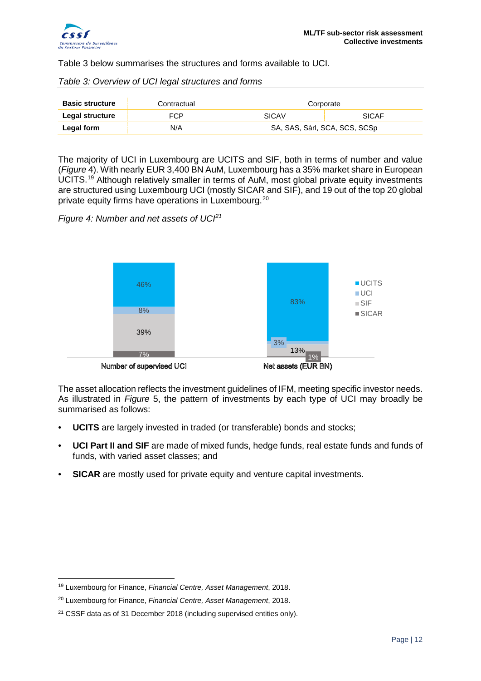

[Table 3](#page-11-0) below summarises the structures and forms available to UCI.

<span id="page-11-0"></span>*Table 3: Overview of UCI legal structures and forms*

| <b>Basic structure</b> | Contractual | Corporate                     |              |
|------------------------|-------------|-------------------------------|--------------|
| Legal structure        | FCP         | <b>SICAV</b>                  | <b>SICAF</b> |
| <b>Legal form</b>      | N/A         | SA, SAS, Sàrl, SCA, SCS, SCSp |              |

The majority of UCI in Luxembourg are UCITS and SIF, both in terms of number and value (*[Figure](#page-11-1)* 4). With nearly EUR 3,400 BN AuM, Luxembourg has a 35% market share in European UCITS.<sup>[19](#page-11-2)</sup> Although relatively smaller in terms of AuM, most global private equity investments are structured using Luxembourg UCI (mostly SICAR and SIF), and 19 out of the top 20 global private equity firms have operations in Luxembourg.[20](#page-11-3)

<span id="page-11-1"></span>*Figure 4: Number and net assets of UCI[21](#page-11-4)*



Number of supervised UCI

Net assets (EUR BN)

The asset allocation reflects the investment guidelines of IFM, meeting specific investor needs. As illustrated in *[Figure](#page-12-1)* 5, the pattern of investments by each type of UCI may broadly be summarised as follows:

- **UCITS** are largely invested in traded (or transferable) bonds and stocks;
- **UCI Part II and SIF** are made of mixed funds, hedge funds, real estate funds and funds of funds, with varied asset classes; and
- **SICAR** are mostly used for private equity and venture capital investments.

<span id="page-11-2"></span><sup>&</sup>lt;u>.</u> <sup>19</sup> Luxembourg for Finance, *Financial Centre, Asset Management*, 2018.

<span id="page-11-3"></span><sup>20</sup> Luxembourg for Finance, *Financial Centre, Asset Management*, 2018.

<span id="page-11-4"></span><sup>&</sup>lt;sup>21</sup> CSSF data as of 31 December 2018 (including supervised entities only).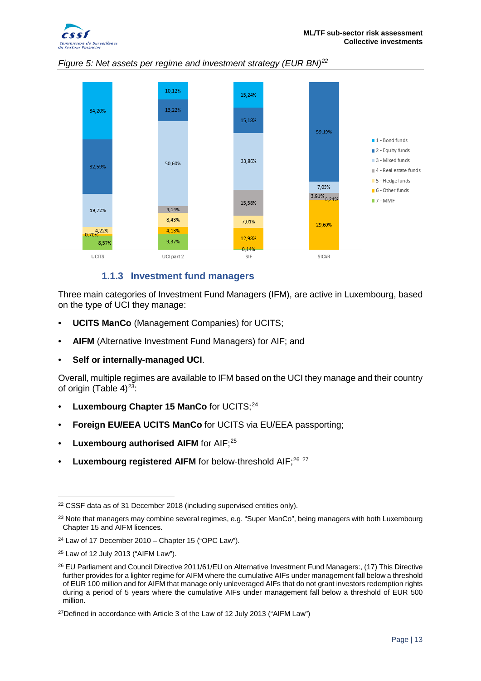

<span id="page-12-1"></span>



#### **1.1.3 Investment fund managers**

<span id="page-12-0"></span>Three main categories of Investment Fund Managers (IFM), are active in Luxembourg, based on the type of UCI they manage:

- **UCITS ManCo** (Management Companies) for UCITS;
- **AIFM** (Alternative Investment Fund Managers) for AIF; and
- **Self or internally-managed UCI**.

Overall, multiple regimes are available to IFM based on the UCI they manage and their country of origin [\(Table 4\)](#page-13-0) $23$ :

- **Luxembourg Chapter 15 ManCo** for UCITS;[24](#page-12-4)
- **Foreign EU/EEA UCITS ManCo** for UCITS via EU/EEA passporting;
- Luxembourg authorised AIFM for AIF;<sup>25</sup>
- Luxembourg registered AIFM for below-threshold AIF;<sup>[26](#page-12-6) [27](#page-12-7)</sup>

<span id="page-12-2"></span><sup>&</sup>lt;u>.</u> <sup>22</sup> CSSF data as of 31 December 2018 (including supervised entities only).

<span id="page-12-3"></span><sup>&</sup>lt;sup>23</sup> Note that managers may combine several regimes, e.g. "Super ManCo", being managers with both Luxembourg Chapter 15 and AIFM licences.

<span id="page-12-4"></span> $24$  Law of 17 December 2010 – Chapter 15 ("OPC Law").

<span id="page-12-5"></span><sup>25</sup> Law of 12 July 2013 ("AIFM Law").

<span id="page-12-6"></span><sup>&</sup>lt;sup>26</sup> EU Parliament and Council Directive 2011/61/EU on Alternative Investment Fund Managers:, (17) This Directive further provides for a lighter regime for AIFM where the cumulative AIFs under management fall below a threshold of EUR 100 million and for AIFM that manage only unleveraged AIFs that do not grant investors redemption rights during a period of 5 years where the cumulative AIFs under management fall below a threshold of EUR 500 million.

<span id="page-12-7"></span><sup>27</sup>Defined in accordance with Article 3 of the Law of 12 July 2013 ("AIFM Law")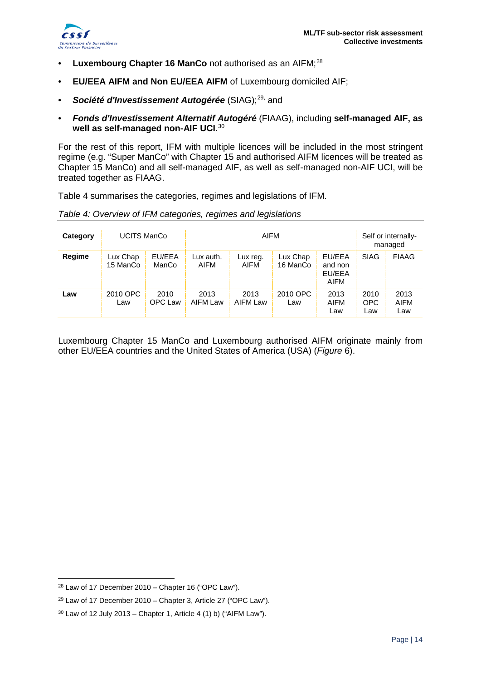

- **Luxembourg Chapter 16 ManCo** not authorised as an AIFM; [28](#page-13-1)
- **EU/EEA AIFM and Non EU/EEA AIFM** of Luxembourg domiciled AIF;
- Société d'Investissement Autogérée (SIAG);<sup>[29](#page-13-2),</sup> and
- *Fonds d'Investissement Alternatif Autogéré* (FIAAG), including **self-managed AIF, as well as self-managed non-AIF UCI**. [30](#page-13-3)

For the rest of this report, IFM with multiple licences will be included in the most stringent regime (e.g. "Super ManCo" with Chapter 15 and authorised AIFM licences will be treated as Chapter 15 ManCo) and all self-managed AIF, as well as self-managed non-AIF UCI, will be treated together as FIAAG.

[Table 4](#page-13-0) summarises the categories, regimes and legislations of IFM.

<span id="page-13-0"></span>

|  |  | Table 4: Overview of IFM categories, regimes and legislations |
|--|--|---------------------------------------------------------------|
|  |  |                                                               |

| Category | <b>UCITS ManCo</b>   |                 | AIFM              |                  |                      | Self or internally-<br>managed      |                    |                            |
|----------|----------------------|-----------------|-------------------|------------------|----------------------|-------------------------------------|--------------------|----------------------------|
| Regime   | Lux Chap<br>15 ManCo | EU/EEA<br>ManCo | Lux auth.<br>AIFM | Lux reg.<br>AIFM | Lux Chap<br>16 ManCo | EU/EEA<br>and non<br>EU/EEA<br>AIFM | <b>SIAG</b>        | <b>FIAAG</b>               |
| Law      | 2010 OPC<br>Law      | 2010<br>OPC Law | 2013<br>AIFM Law  | 2013<br>AIFM Law | 2010 OPC<br>Law      | 2013<br><b>AIFM</b><br>Law          | 2010<br>OPC<br>Law | 2013<br><b>AIFM</b><br>Law |

Luxembourg Chapter 15 ManCo and Luxembourg authorised AIFM originate mainly from other EU/EEA countries and the United States of America (USA) (*Figure* 6).

<u>.</u>

<span id="page-13-1"></span> $28$  Law of 17 December 2010 – Chapter 16 ("OPC Law").

<span id="page-13-2"></span><sup>29</sup> Law of 17 December 2010 – Chapter 3, Article 27 ("OPC Law").

<span id="page-13-3"></span> $30$  Law of 12 July 2013 – Chapter 1, Article 4 (1) b) ("AIFM Law").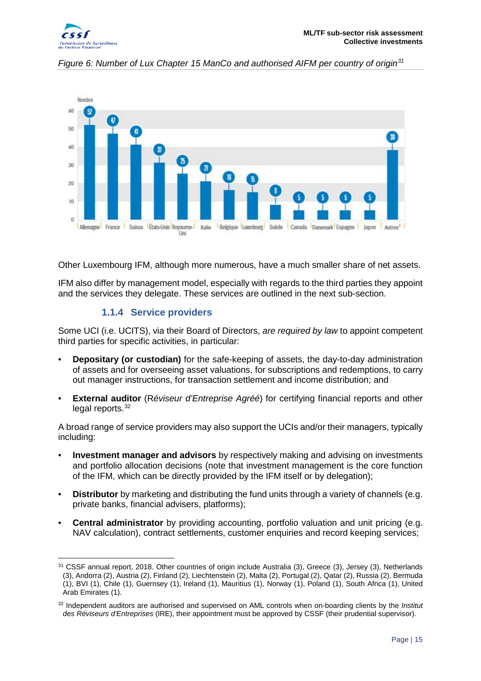



*Figure 6: Number of Lux Chapter 15 ManCo and authorised AIFM per country of origin[31](#page-14-1)*

Other Luxembourg IFM, although more numerous, have a much smaller share of net assets.

IFM also differ by management model, especially with regards to the third parties they appoint and the services they delegate. These services are outlined in the next sub-section.

#### **1.1.4 Service providers**

<span id="page-14-0"></span>Some UCI (i.e. UCITS), via their Board of Directors, *are required by law* to appoint competent third parties for specific activities, in particular:

- **Depositary (or custodian)** for the safe-keeping of assets, the day-to-day administration of assets and for overseeing asset valuations, for subscriptions and redemptions, to carry out manager instructions, for transaction settlement and income distribution; and
- **External auditor** (R*éviseur d'Entreprise Agréé*) for certifying financial reports and other legal reports.<sup>[32](#page-14-2)</sup>

A broad range of service providers may also support the UCIs and/or their managers, typically including:

- **Investment manager and advisors** by respectively making and advising on investments and portfolio allocation decisions (note that investment management is the core function of the IFM, which can be directly provided by the IFM itself or by delegation);
- **Distributor** by marketing and distributing the fund units through a variety of channels (e.g. private banks, financial advisers, platforms);
- **Central administrator** by providing accounting, portfolio valuation and unit pricing (e.g. NAV calculation), contract settlements, customer enquiries and record keeping services;

<span id="page-14-1"></span><sup>&</sup>lt;u>.</u> <sup>31</sup> CSSF annual report, 2018. Other countries of origin include Australia (3), Greece (3), Jersey (3), Netherlands (3), Andorra (2), Austria (2), Finland (2), Liechtenstein (2), Malta (2), Portugal (2), Qatar (2), Russia (2), Bermuda (1), BVI (1), Chile (1), Guernsey (1), Ireland (1), Mauritius (1), Norway (1), Poland (1), South Africa (1), United Arab Emirates (1).

<span id="page-14-2"></span><sup>32</sup> Independent auditors are authorised and supervised on AML controls when on-boarding clients by the *Institut des Réviseurs d'Entreprises* (IRE), their appointment must be approved by CSSF (their prudential supervisor).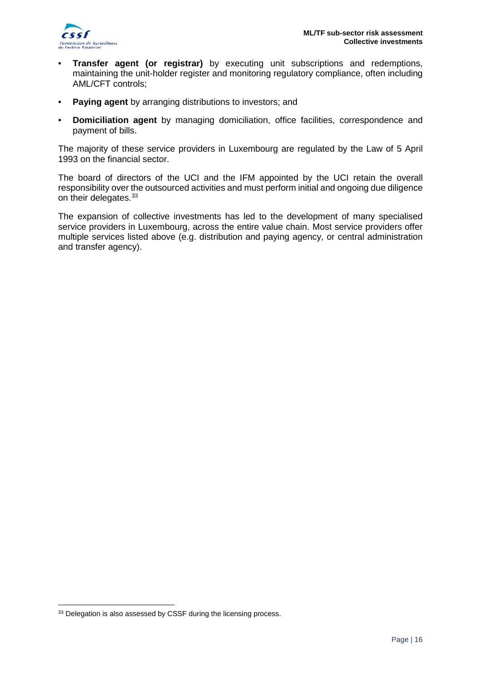

- **Transfer agent (or registrar)** by executing unit subscriptions and redemptions, maintaining the unit-holder register and monitoring regulatory compliance, often including AML/CFT controls;
- **Paying agent** by arranging distributions to investors; and
- **Domiciliation agent** by managing domiciliation, office facilities, correspondence and payment of bills.

The majority of these service providers in Luxembourg are regulated by the Law of 5 April 1993 on the financial sector.

The board of directors of the UCI and the IFM appointed by the UCI retain the overall responsibility over the outsourced activities and must perform initial and ongoing due diligence on their delegates. [33](#page-15-0)

The expansion of collective investments has led to the development of many specialised service providers in Luxembourg, across the entire value chain. Most service providers offer multiple services listed above (e.g. distribution and paying agency, or central administration and transfer agency).

<u>.</u>

<span id="page-15-0"></span><sup>&</sup>lt;sup>33</sup> Delegation is also assessed by CSSF during the licensing process.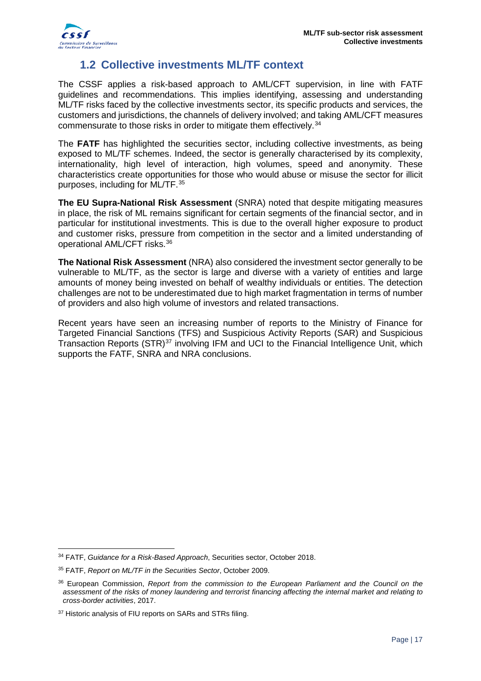

# **1.2 Collective investments ML/TF context**

<span id="page-16-0"></span>The CSSF applies a risk-based approach to AML/CFT supervision, in line with FATF guidelines and recommendations. This implies identifying, assessing and understanding ML/TF risks faced by the collective investments sector, its specific products and services, the customers and jurisdictions, the channels of delivery involved; and taking AML/CFT measures commensurate to those risks in order to mitigate them effectively.<sup>[34](#page-16-1)</sup>

The FATF has highlighted the securities sector, including collective investments, as being exposed to ML/TF schemes. Indeed, the sector is generally characterised by its complexity, internationality, high level of interaction, high volumes, speed and anonymity. These characteristics create opportunities for those who would abuse or misuse the sector for illicit purposes, including for ML/TF.[35](#page-16-2)

**The EU Supra-National Risk Assessment** (SNRA) noted that despite mitigating measures in place, the risk of ML remains significant for certain segments of the financial sector, and in particular for institutional investments. This is due to the overall higher exposure to product and customer risks, pressure from competition in the sector and a limited understanding of operational AML/CFT risks.[36](#page-16-3)

**The National Risk Assessment** (NRA) also considered the investment sector generally to be vulnerable to ML/TF, as the sector is large and diverse with a variety of entities and large amounts of money being invested on behalf of wealthy individuals or entities. The detection challenges are not to be underestimated due to high market fragmentation in terms of number of providers and also high volume of investors and related transactions.

Recent years have seen an increasing number of reports to the Ministry of Finance for Targeted Financial Sanctions (TFS) and Suspicious Activity Reports (SAR) and Suspicious Transaction Reports (STR)<sup>[37](#page-16-4)</sup> involving IFM and UCI to the Financial Intelligence Unit, which supports the FATF, SNRA and NRA conclusions.

<span id="page-16-1"></span><sup>&</sup>lt;u>.</u> <sup>34</sup> FATF, *Guidance for a Risk-Based Approach*, Securities sector, October 2018.

<span id="page-16-2"></span><sup>35</sup> FATF, *Report on ML/TF in the Securities Sector*, October 2009.

<span id="page-16-3"></span><sup>36</sup> European Commission, *Report from the commission to the European Parliament and the Council on the assessment of the risks of money laundering and terrorist financing affecting the internal market and relating to cross-border activities*, 2017.

<span id="page-16-4"></span><sup>&</sup>lt;sup>37</sup> Historic analysis of FIU reports on SARs and STRs filing.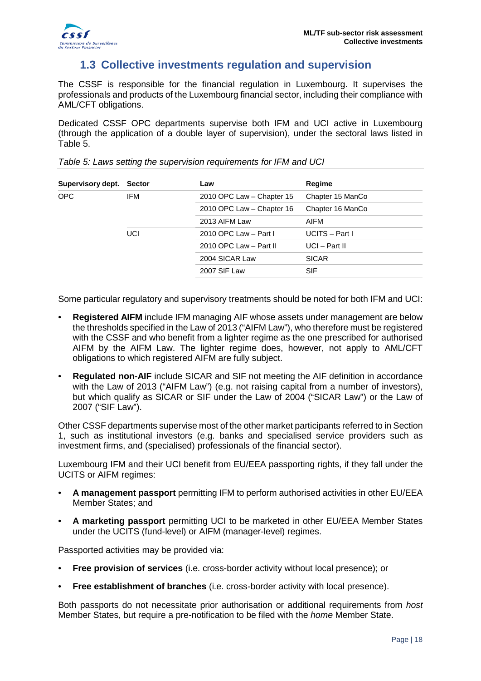

### **1.3 Collective investments regulation and supervision**

<span id="page-17-0"></span>The CSSF is responsible for the financial regulation in Luxembourg. It supervises the professionals and products of the Luxembourg financial sector, including their compliance with AML/CFT obligations.

Dedicated CSSF OPC departments supervise both IFM and UCI active in Luxembourg (through the application of a double layer of supervision), under the sectoral laws listed in [Table 5.](#page-17-1)

| Supervisory dept. Sector |     | Law                       | Regime           |
|--------------------------|-----|---------------------------|------------------|
| OPC.                     | IFM | 2010 OPC Law - Chapter 15 | Chapter 15 ManCo |
|                          |     | 2010 OPC Law - Chapter 16 | Chapter 16 ManCo |
|                          |     | 2013 AIFM Law             | AIFM             |
|                          | UCI | 2010 OPC Law - Part I     | $UCITS - Part I$ |
|                          |     | 2010 OPC Law - Part II    | $UCI - Part II$  |
|                          |     | 2004 SICAR Law            | <b>SICAR</b>     |
|                          |     | 2007 SIF Law              | <b>SIF</b>       |
|                          |     |                           |                  |

<span id="page-17-1"></span>*Table 5: Laws setting the supervision requirements for IFM and UCI*

Some particular regulatory and supervisory treatments should be noted for both IFM and UCI:

- **Registered AIFM** include IFM managing AIF whose assets under management are below the thresholds specified in the Law of 2013 ("AIFM Law"), who therefore must be registered with the CSSF and who benefit from a lighter regime as the one prescribed for authorised AIFM by the AIFM Law. The lighter regime does, however, not apply to AML/CFT obligations to which registered AIFM are fully subject.
- **Regulated non-AIF** include SICAR and SIF not meeting the AIF definition in accordance with the Law of 2013 ("AIFM Law") (e.g. not raising capital from a number of investors), but which qualify as SICAR or SIF under the Law of 2004 ("SICAR Law") or the Law of 2007 ("SIF Law").

Other CSSF departments supervise most of the other market participants referred to in Section [1,](#page-6-0) such as institutional investors (e.g. banks and specialised service providers such as investment firms, and (specialised) professionals of the financial sector).

Luxembourg IFM and their UCI benefit from EU/EEA passporting rights, if they fall under the UCITS or AIFM regimes:

- **A management passport** permitting IFM to perform authorised activities in other EU/EEA Member States; and
- **A marketing passport** permitting UCI to be marketed in other EU/EEA Member States under the UCITS (fund-level) or AIFM (manager-level) regimes.

Passported activities may be provided via:

- **Free provision of services** (i.e. cross-border activity without local presence); or
- **Free establishment of branches** (i.e. cross-border activity with local presence).

Both passports do not necessitate prior authorisation or additional requirements from *host* Member States, but require a pre-notification to be filed with the *home* Member State.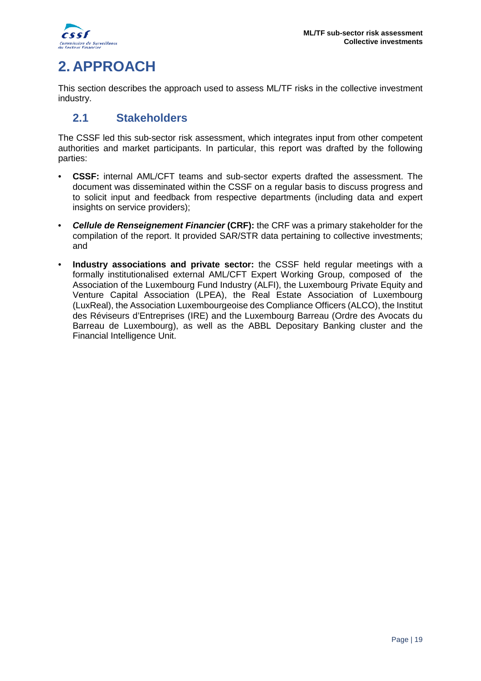

# <span id="page-18-0"></span>**2. APPROACH**

This section describes the approach used to assess ML/TF risks in the collective investment industry.

# <span id="page-18-1"></span>**2.1 Stakeholders**

The CSSF led this sub-sector risk assessment, which integrates input from other competent authorities and market participants. In particular, this report was drafted by the following parties:

- **CSSF:** internal AML/CFT teams and sub-sector experts drafted the assessment. The document was disseminated within the CSSF on a regular basis to discuss progress and to solicit input and feedback from respective departments (including data and expert insights on service providers);
- *Cellule de Renseignement Financier* **(CRF):** the CRF was a primary stakeholder for the compilation of the report. It provided SAR/STR data pertaining to collective investments; and
- **Industry associations and private sector:** the CSSF held regular meetings with a formally institutionalised external AML/CFT Expert Working Group, composed of the Association of the Luxembourg Fund Industry (ALFI), the Luxembourg Private Equity and Venture Capital Association (LPEA), the Real Estate Association of Luxembourg (LuxReal), the Association Luxembourgeoise des Compliance Officers (ALCO), the Institut des Réviseurs d'Entreprises (IRE) and the Luxembourg Barreau (Ordre des Avocats du Barreau de Luxembourg), as well as the ABBL Depositary Banking cluster and the Financial Intelligence Unit.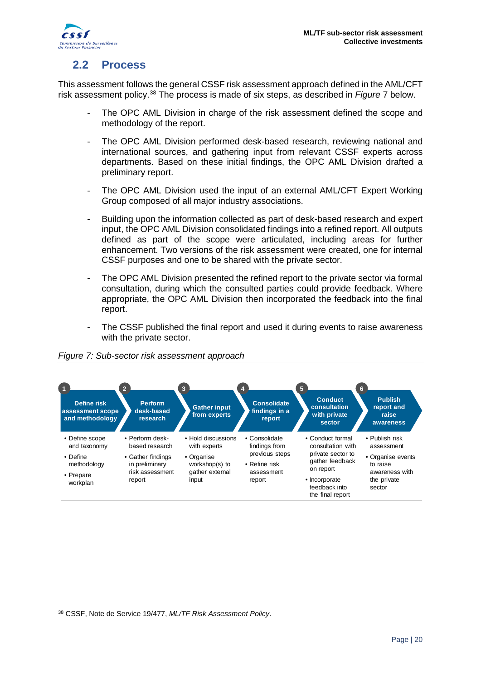

# <span id="page-19-0"></span>**2.2 Process**

This assessment follows the general CSSF risk assessment approach defined in the AML/CFT risk assessment policy.[38](#page-19-1) The process is made of six steps, as described in *Figure* 7 below.

- The OPC AML Division in charge of the risk assessment defined the scope and methodology of the report.
- The OPC AML Division performed desk-based research, reviewing national and international sources, and gathering input from relevant CSSF experts across departments. Based on these initial findings, the OPC AML Division drafted a preliminary report.
- The OPC AML Division used the input of an external AML/CFT Expert Working Group composed of all major industry associations.
- Building upon the information collected as part of desk-based research and expert input, the OPC AML Division consolidated findings into a refined report. All outputs defined as part of the scope were articulated, including areas for further enhancement. Two versions of the risk assessment were created, one for internal CSSF purposes and one to be shared with the private sector.
- The OPC AML Division presented the refined report to the private sector via formal consultation, during which the consulted parties could provide feedback. Where appropriate, the OPC AML Division then incorporated the feedback into the final report.
- The CSSF published the final report and used it during events to raise awareness with the private sector.



#### *Figure 7: Sub-sector risk assessment approach*

<u>.</u>

<span id="page-19-1"></span><sup>38</sup> CSSF, Note de Service 19/477, *ML/TF Risk Assessment Policy*.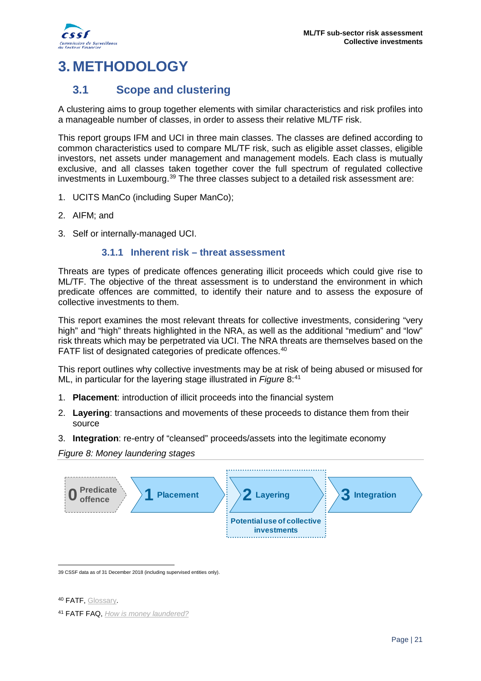

# <span id="page-20-0"></span>**3. METHODOLOGY**

### <span id="page-20-1"></span>**3.1 Scope and clustering**

A clustering aims to group together elements with similar characteristics and risk profiles into a manageable number of classes, in order to assess their relative ML/TF risk.

This report groups IFM and UCI in three main classes. The classes are defined according to common characteristics used to compare ML/TF risk, such as eligible asset classes, eligible investors, net assets under management and management models. Each class is mutually exclusive, and all classes taken together cover the full spectrum of regulated collective investments in Luxembourg.<sup>[39](#page-20-3)</sup> The three classes subject to a detailed risk assessment are:

- 1. UCITS ManCo (including Super ManCo);
- 2. AIFM; and
- <span id="page-20-2"></span>3. Self or internally-managed UCI.

#### **3.1.1 Inherent risk – threat assessment**

Threats are types of predicate offences generating illicit proceeds which could give rise to ML/TF. The objective of the threat assessment is to understand the environment in which predicate offences are committed, to identify their nature and to assess the exposure of collective investments to them.

This report examines the most relevant threats for collective investments, considering "very high" and "high" threats highlighted in the NRA, as well as the additional "medium" and "low" risk threats which may be perpetrated via UCI. The NRA threats are themselves based on the FATF list of designated categories of predicate offences.<sup>[40](#page-20-4)</sup>

This report outlines why collective investments may be at risk of being abused or misused for ML, in particular for the layering stage illustrated in *Figure* 8: [41](#page-20-5)

- 1. **Placement**: introduction of illicit proceeds into the financial system
- 2. **Layering**: transactions and movements of these proceeds to distance them from their source
- 3. **Integration**: re-entry of "cleansed" proceeds/assets into the legitimate economy

*Figure 8: Money laundering stages*



<span id="page-20-3"></span><u>.</u> 39 CSSF data as of 31 December 2018 (including supervised entities only).

<span id="page-20-4"></span>40 **FATF**[, Glossary.](http://www.fatf-gafi.org/glossary/d-i/)

<span id="page-20-5"></span><sup>41</sup> FATF FAQ, *[How is money laundered?](http://www.fatf-gafi.org/faq/moneylaundering/)*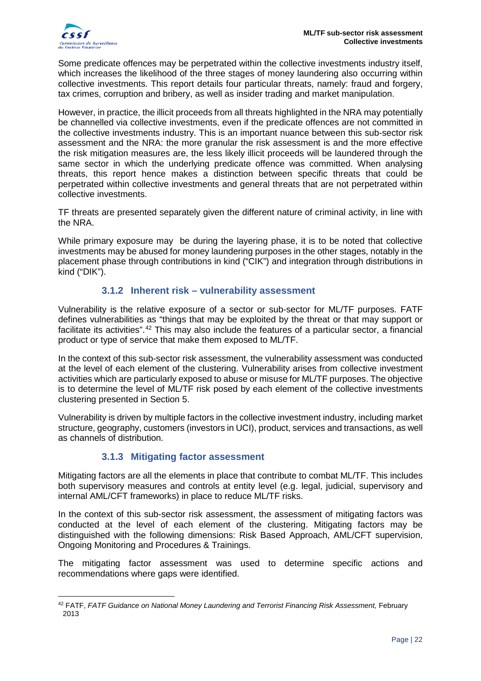Some predicate offences may be perpetrated within the collective investments industry itself, which increases the likelihood of the three stages of money laundering also occurring within collective investments. This report details four particular threats, namely: fraud and forgery, tax crimes, corruption and bribery, as well as insider trading and market manipulation.

However, in practice, the illicit proceeds from all threats highlighted in the NRA may potentially be channelled via collective investments, even if the predicate offences are not committed in the collective investments industry. This is an important nuance between this sub-sector risk assessment and the NRA: the more granular the risk assessment is and the more effective the risk mitigation measures are, the less likely illicit proceeds will be laundered through the same sector in which the underlying predicate offence was committed. When analysing threats, this report hence makes a distinction between specific threats that could be perpetrated within collective investments and general threats that are not perpetrated within collective investments.

TF threats are presented separately given the different nature of criminal activity, in line with the NRA.

While primary exposure may be during the layering phase, it is to be noted that collective investments may be abused for money laundering purposes in the other stages, notably in the placement phase through contributions in kind ("CIK") and integration through distributions in kind ("DIK").

#### **3.1.2 Inherent risk – vulnerability assessment**

<span id="page-21-0"></span>Vulnerability is the relative exposure of a sector or sub-sector for ML/TF purposes. FATF defines vulnerabilities as "things that may be exploited by the threat or that may support or facilitate its activities".[42](#page-21-2) This may also include the features of a particular sector, a financial product or type of service that make them exposed to ML/TF.

In the context of this sub-sector risk assessment, the vulnerability assessment was conducted at the level of each element of the clustering. Vulnerability arises from collective investment activities which are particularly exposed to abuse or misuse for ML/TF purposes. The objective is to determine the level of ML/TF risk posed by each element of the collective investments clustering presented in Section 5.

Vulnerability is driven by multiple factors in the collective investment industry, including market structure, geography, customers (investors in UCI), product, services and transactions, as well as channels of distribution.

#### <span id="page-21-1"></span>**3.1.3 Mitigating factor assessment**

Mitigating factors are all the elements in place that contribute to combat ML/TF. This includes both supervisory measures and controls at entity level (e.g. legal, judicial, supervisory and internal AML/CFT frameworks) in place to reduce ML/TF risks.

In the context of this sub-sector risk assessment, the assessment of mitigating factors was conducted at the level of each element of the clustering. Mitigating factors may be distinguished with the following dimensions: Risk Based Approach, AML/CFT supervision, Ongoing Monitoring and Procedures & Trainings.

The mitigating factor assessment was used to determine specific actions and recommendations where gaps were identified.

<span id="page-21-2"></span><sup>-</sup><sup>42</sup> FATF, *FATF Guidance on National Money Laundering and Terrorist Financing Risk Assessment, February* 2013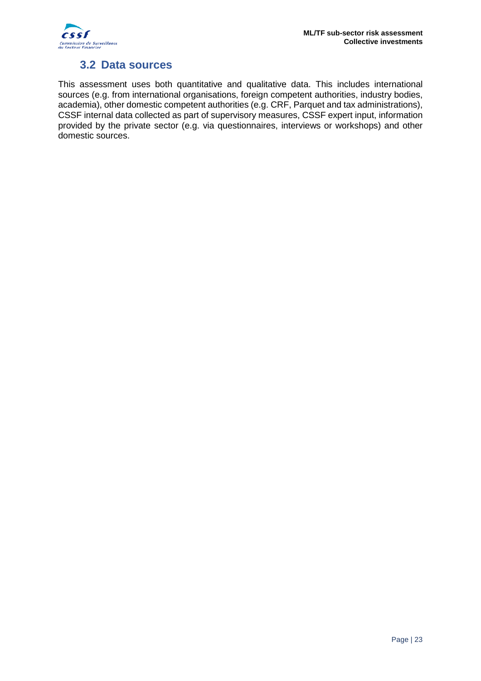

# **3.2 Data sources**

<span id="page-22-0"></span>This assessment uses both quantitative and qualitative data. This includes international sources (e.g. from international organisations, foreign competent authorities, industry bodies, academia), other domestic competent authorities (e.g. CRF, Parquet and tax administrations), CSSF internal data collected as part of supervisory measures, CSSF expert input, information provided by the private sector (e.g. via questionnaires, interviews or workshops) and other domestic sources.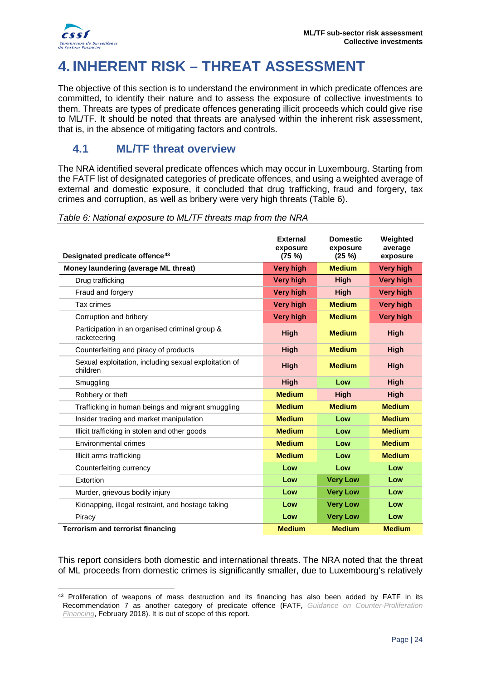

<u>.</u>

# <span id="page-23-0"></span>**4. INHERENT RISK – THREAT ASSESSMENT**

The objective of this section is to understand the environment in which predicate offences are committed, to identify their nature and to assess the exposure of collective investments to them. Threats are types of predicate offences generating illicit proceeds which could give rise to ML/TF. It should be noted that threats are analysed within the inherent risk assessment, that is, in the absence of mitigating factors and controls.

### <span id="page-23-1"></span>**4.1 ML/TF threat overview**

The NRA identified several predicate offences which may occur in Luxembourg. Starting from the FATF list of designated categories of predicate offences, and using a weighted average of external and domestic exposure, it concluded that drug trafficking, fraud and forgery, tax crimes and corruption, as well as bribery were very high threats [\(Table 6\)](#page-23-2).

|                                                                   | <b>External</b><br>exposure | <b>Domestic</b><br>exposure | Weighted<br>average |
|-------------------------------------------------------------------|-----------------------------|-----------------------------|---------------------|
| Designated predicate offence <sup>43</sup>                        | (75 %)                      | (25 %)                      | exposure            |
| Money laundering (average ML threat)                              | <b>Very high</b>            | <b>Medium</b>               | <b>Very high</b>    |
| Drug trafficking                                                  | <b>Very high</b>            | <b>High</b>                 | <b>Very high</b>    |
| Fraud and forgery                                                 | <b>Very high</b>            | <b>High</b>                 | <b>Very high</b>    |
| Tax crimes                                                        | <b>Very high</b>            | <b>Medium</b>               | <b>Very high</b>    |
| Corruption and bribery                                            | <b>Very high</b>            | <b>Medium</b>               | <b>Very high</b>    |
| Participation in an organised criminal group &<br>racketeering    | <b>High</b>                 | <b>Medium</b>               | <b>High</b>         |
| Counterfeiting and piracy of products                             | <b>High</b>                 | <b>Medium</b>               | High                |
| Sexual exploitation, including sexual exploitation of<br>children | <b>High</b>                 | <b>Medium</b>               | High                |
| Smuggling                                                         | <b>High</b>                 | Low                         | <b>High</b>         |
| Robbery or theft                                                  | <b>Medium</b>               | High                        | <b>High</b>         |
| Trafficking in human beings and migrant smuggling                 | <b>Medium</b>               | <b>Medium</b>               | <b>Medium</b>       |
| Insider trading and market manipulation                           | <b>Medium</b>               | Low                         | <b>Medium</b>       |
| Illicit trafficking in stolen and other goods                     | <b>Medium</b>               | Low                         | <b>Medium</b>       |
| Environmental crimes                                              | <b>Medium</b>               | Low                         | <b>Medium</b>       |
| Illicit arms trafficking                                          | <b>Medium</b>               | Low                         | <b>Medium</b>       |
| Counterfeiting currency                                           | Low                         | Low                         | Low                 |
| Extortion                                                         | Low                         | <b>Very Low</b>             | Low                 |
| Murder, grievous bodily injury                                    | Low                         | <b>Very Low</b>             | Low                 |
| Kidnapping, illegal restraint, and hostage taking                 | Low                         | <b>Very Low</b>             | Low                 |
| Piracy                                                            | Low                         | <b>Very Low</b>             | Low                 |
| <b>Terrorism and terrorist financing</b>                          | <b>Medium</b>               | <b>Medium</b>               | <b>Medium</b>       |

<span id="page-23-2"></span>*Table 6: National exposure to ML/TF threats map from the NRA*

This report considers both domestic and international threats. The NRA noted that the threat of ML proceeds from domestic crimes is significantly smaller, due to Luxembourg's relatively

<span id="page-23-3"></span><sup>&</sup>lt;sup>43</sup> Proliferation of weapons of mass destruction and its financing has also been added by FATF in its Recommendation 7 as another category of predicate offence (FATF, *[Guidance on Counter-Proliferation](http://www.fatf-gafi.org/media/fatf/documents/reports/Guidance-Countering-Proliferation-Financing.pdf)  [Financing](http://www.fatf-gafi.org/media/fatf/documents/reports/Guidance-Countering-Proliferation-Financing.pdf)*, February 2018). It is out of scope of this report.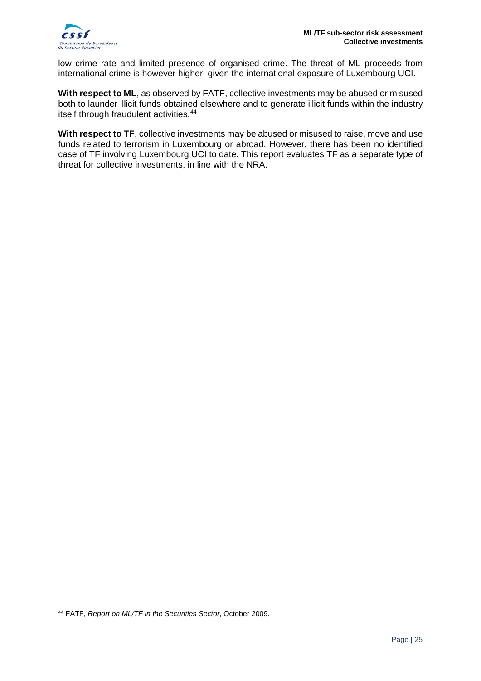

low crime rate and limited presence of organised crime. The threat of ML proceeds from international crime is however higher, given the international exposure of Luxembourg UCI.

**With respect to ML**, as observed by FATF, collective investments may be abused or misused both to launder illicit funds obtained elsewhere and to generate illicit funds within the industry itself through fraudulent activities. [44](#page-24-0)

With respect to TF, collective investments may be abused or misused to raise, move and use funds related to terrorism in Luxembourg or abroad. However, there has been no identified case of TF involving Luxembourg UCI to date. This report evaluates TF as a separate type of threat for collective investments, in line with the NRA.

<u>.</u>

<span id="page-24-0"></span><sup>44</sup> FATF, *Report on ML/TF in the Securities Sector*, October 2009.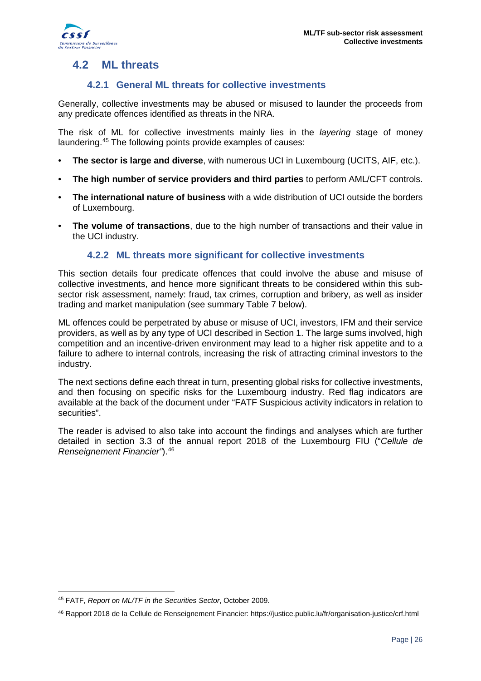

# <span id="page-25-0"></span>**4.2 ML threats**

#### **4.2.1 General ML threats for collective investments**

<span id="page-25-1"></span>Generally, collective investments may be abused or misused to launder the proceeds from any predicate offences identified as threats in the NRA.

The risk of ML for collective investments mainly lies in the *layering* stage of money laundering. [45](#page-25-3) The following points provide examples of causes:

- **The sector is large and diverse**, with numerous UCI in Luxembourg (UCITS, AIF, etc.).
- **The high number of service providers and third parties** to perform AML/CFT controls.
- **The international nature of business** with a wide distribution of UCI outside the borders of Luxembourg.
- **The volume of transactions**, due to the high number of transactions and their value in the UCI industry.

#### **4.2.2 ML threats more significant for collective investments**

<span id="page-25-2"></span>This section details four predicate offences that could involve the abuse and misuse of collective investments, and hence more significant threats to be considered within this subsector risk assessment, namely: fraud, tax crimes, corruption and bribery, as well as insider trading and market manipulation (see summary [Table 7](#page-26-0) below).

ML offences could be perpetrated by abuse or misuse of UCI, investors, IFM and their service providers, as well as by any type of UCI described in Section [1.](#page-6-0) The large sums involved, high competition and an incentive-driven environment may lead to a higher risk appetite and to a failure to adhere to internal controls, increasing the risk of attracting criminal investors to the industry.

The next sections define each threat in turn, presenting global risks for collective investments, and then focusing on specific risks for the Luxembourg industry. Red flag indicators are available at the back of the document under "FATF Suspicious activity indicators in relation to securities".

The reader is advised to also take into account the findings and analyses which are further detailed in section 3.3 of the annual report 2018 of the Luxembourg FIU ("*Cellule de Renseignement Financier"*).[46](#page-25-4)

<span id="page-25-3"></span><sup>-</sup><sup>45</sup> FATF, *Report on ML/TF in the Securities Sector*, October 2009.

<span id="page-25-4"></span><sup>46</sup> Rapport 2018 de la Cellule de Renseignement Financier: https://justice.public.lu/fr/organisation-justice/crf.html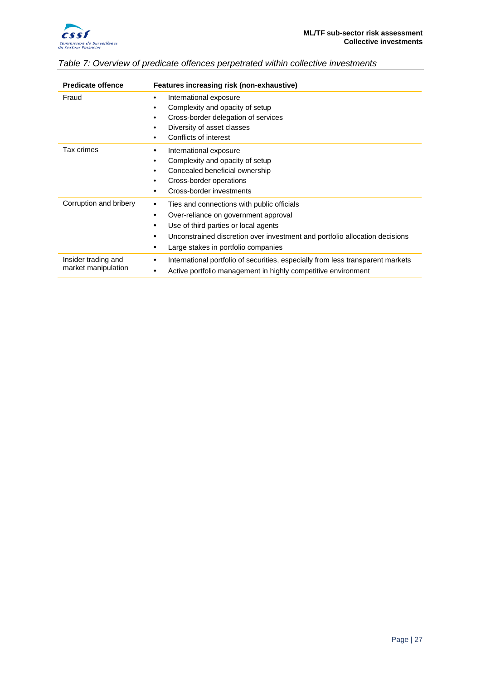

| <b>Predicate offence</b>                   | Features increasing risk (non-exhaustive)                                                                                                                                                                                                                            |
|--------------------------------------------|----------------------------------------------------------------------------------------------------------------------------------------------------------------------------------------------------------------------------------------------------------------------|
| Fraud                                      | International exposure<br>٠<br>Complexity and opacity of setup<br>٠<br>Cross-border delegation of services<br>٠<br>Diversity of asset classes<br>٠<br>Conflicts of interest<br>٠                                                                                     |
| Tax crimes                                 | International exposure<br>Complexity and opacity of setup<br>$\bullet$<br>Concealed beneficial ownership<br>٠<br>Cross-border operations<br>٠<br>Cross-border investments                                                                                            |
| Corruption and bribery                     | Ties and connections with public officials<br>٠<br>Over-reliance on government approval<br>٠<br>Use of third parties or local agents<br>٠<br>Unconstrained discretion over investment and portfolio allocation decisions<br>Large stakes in portfolio companies<br>٠ |
| Insider trading and<br>market manipulation | International portfolio of securities, especially from less transparent markets<br>٠<br>Active portfolio management in highly competitive environment<br>٠                                                                                                           |

#### <span id="page-26-0"></span>*Table 7: Overview of predicate offences perpetrated within collective investments*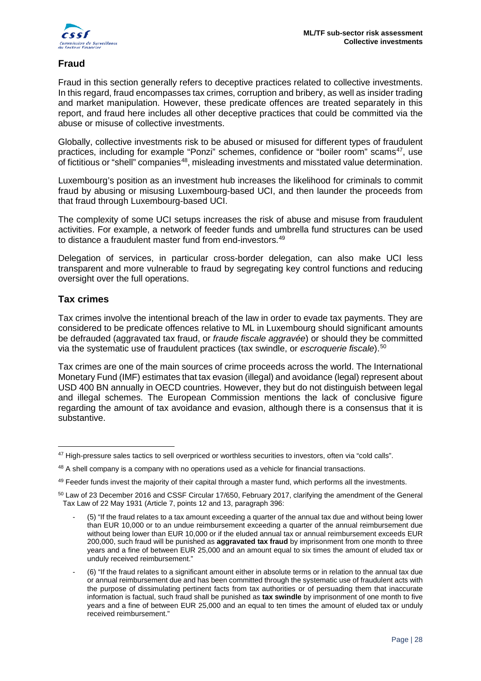

#### **Fraud**

Fraud in this section generally refers to deceptive practices related to collective investments. In this regard, fraud encompasses tax crimes, corruption and bribery, as well as insider trading and market manipulation. However, these predicate offences are treated separately in this report, and fraud here includes all other deceptive practices that could be committed via the abuse or misuse of collective investments.

Globally, collective investments risk to be abused or misused for different types of fraudulent practices, including for example "Ponzi" schemes, confidence or "boiler room" scams<sup>47</sup>, use of fictitious or "shell" companies<sup>[48](#page-27-1)</sup>, misleading investments and misstated value determination.

Luxembourg's position as an investment hub increases the likelihood for criminals to commit fraud by abusing or misusing Luxembourg-based UCI, and then launder the proceeds from that fraud through Luxembourg-based UCI.

The complexity of some UCI setups increases the risk of abuse and misuse from fraudulent activities. For example, a network of feeder funds and umbrella fund structures can be used to distance a fraudulent master fund from end-investors.<sup>[49](#page-27-2)</sup>

Delegation of services, in particular cross-border delegation, can also make UCI less transparent and more vulnerable to fraud by segregating key control functions and reducing oversight over the full operations.

#### **Tax crimes**

Tax crimes involve the intentional breach of the law in order to evade tax payments. They are considered to be predicate offences relative to ML in Luxembourg should significant amounts be defrauded (aggravated tax fraud, or *fraude fiscale aggravée*) or should they be committed via the systematic use of fraudulent practices (tax swindle, or *escroquerie fiscale*). [50](#page-27-3)

Tax crimes are one of the main sources of crime proceeds across the world. The International Monetary Fund (IMF) estimates that tax evasion (illegal) and avoidance (legal) represent about USD 400 BN annually in OECD countries. However, they but do not distinguish between legal and illegal schemes. The European Commission mentions the lack of conclusive figure regarding the amount of tax avoidance and evasion, although there is a consensus that it is substantive.

<sup>&</sup>lt;u>.</u> <sup>47</sup> High-pressure sales tactics to sell overpriced or worthless securities to investors, often via "cold calls".

<span id="page-27-1"></span><span id="page-27-0"></span><sup>48</sup> A shell company is a company with no operations used as a vehicle for financial transactions.

<span id="page-27-2"></span><sup>49</sup> Feeder funds invest the majority of their capital through a master fund, which performs all the investments.

<span id="page-27-3"></span><sup>&</sup>lt;sup>50</sup> Law of 23 December 2016 and CSSF Circular 17/650, February 2017, clarifying the amendment of the General Tax Law of 22 May 1931 (Article 7, points 12 and 13, paragraph 396:

<sup>-</sup> (5) "If the fraud relates to a tax amount exceeding a quarter of the annual tax due and without being lower than EUR 10,000 or to an undue reimbursement exceeding a quarter of the annual reimbursement due without being lower than EUR 10,000 or if the eluded annual tax or annual reimbursement exceeds EUR 200,000, such fraud will be punished as **aggravated tax fraud** by imprisonment from one month to three years and a fine of between EUR 25,000 and an amount equal to six times the amount of eluded tax or unduly received reimbursement."

<sup>-</sup> (6) "If the fraud relates to a significant amount either in absolute terms or in relation to the annual tax due or annual reimbursement due and has been committed through the systematic use of fraudulent acts with the purpose of dissimulating pertinent facts from tax authorities or of persuading them that inaccurate information is factual, such fraud shall be punished as **tax swindle** by imprisonment of one month to five years and a fine of between EUR 25,000 and an equal to ten times the amount of eluded tax or unduly received reimbursement."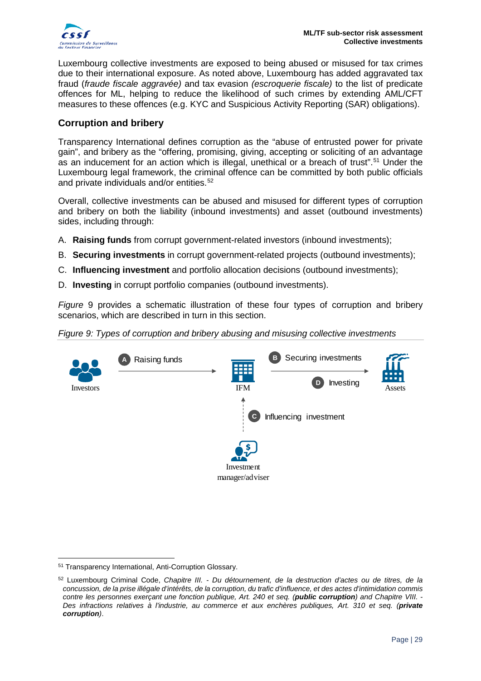

Luxembourg collective investments are exposed to being abused or misused for tax crimes due to their international exposure. As noted above, Luxembourg has added aggravated tax fraud (*fraude fiscale aggravée)* and tax evasion *(escroquerie fiscale)* to the list of predicate offences for ML, helping to reduce the likelihood of such crimes by extending AML/CFT measures to these offences (e.g. KYC and Suspicious Activity Reporting (SAR) obligations).

#### **Corruption and bribery**

Transparency International defines corruption as the "abuse of entrusted power for private gain", and bribery as the "offering, promising, giving, accepting or soliciting of an advantage as an inducement for an action which is illegal, unethical or a breach of trust".<sup>[51](#page-28-0)</sup> Under the Luxembourg legal framework, the criminal offence can be committed by both public officials and private individuals and/or entities.<sup>[52](#page-28-1)</sup>

Overall, collective investments can be abused and misused for different types of corruption and bribery on both the liability (inbound investments) and asset (outbound investments) sides, including through:

- A. **Raising funds** from corrupt government-related investors (inbound investments);
- B. **Securing investments** in corrupt government-related projects (outbound investments);
- C. **Influencing investment** and portfolio allocation decisions (outbound investments);
- D. **Investing** in corrupt portfolio companies (outbound investments).

*Figure* 9 provides a schematic illustration of these four types of corruption and bribery scenarios, which are described in turn in this section.

*Figure 9: Types of corruption and bribery abusing and misusing collective investments*



<span id="page-28-0"></span><sup>&</sup>lt;u>.</u> <sup>51</sup> Transparency International, Anti-Corruption Glossary.

<span id="page-28-1"></span><sup>52</sup> Luxembourg Criminal Code, *Chapitre III. - Du détournement, de la destruction d'actes ou de titres, de la concussion, de la prise illégale d'intérêts, de la corruption, du trafic d'influence, et des actes d'intimidation commis contre les personnes exerçant une fonction publique, Art. 240 et seq. (public corruption) and Chapitre VIII. - Des infractions relatives à l'industrie, au commerce et aux enchères publiques, Art. 310 et seq. (private corruption)*.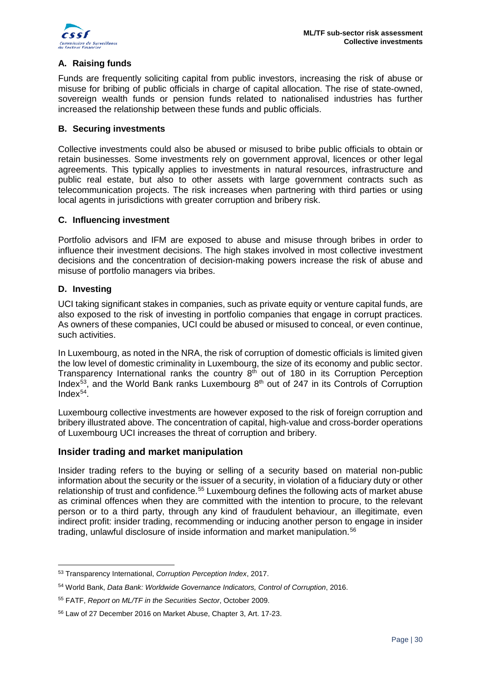

#### **A. Raising funds**

Funds are frequently soliciting capital from public investors, increasing the risk of abuse or misuse for bribing of public officials in charge of capital allocation. The rise of state-owned, sovereign wealth funds or pension funds related to nationalised industries has further increased the relationship between these funds and public officials.

#### **B. Securing investments**

Collective investments could also be abused or misused to bribe public officials to obtain or retain businesses. Some investments rely on government approval, licences or other legal agreements. This typically applies to investments in natural resources, infrastructure and public real estate, but also to other assets with large government contracts such as telecommunication projects. The risk increases when partnering with third parties or using local agents in jurisdictions with greater corruption and bribery risk.

#### **C. Influencing investment**

Portfolio advisors and IFM are exposed to abuse and misuse through bribes in order to influence their investment decisions. The high stakes involved in most collective investment decisions and the concentration of decision-making powers increase the risk of abuse and misuse of portfolio managers via bribes.

#### **D. Investing**

UCI taking significant stakes in companies, such as private equity or venture capital funds, are also exposed to the risk of investing in portfolio companies that engage in corrupt practices. As owners of these companies, UCI could be abused or misused to conceal, or even continue, such activities.

In Luxembourg, as noted in the NRA, the risk of corruption of domestic officials is limited given the low level of domestic criminality in Luxembourg, the size of its economy and public sector. Transparency International ranks the country  $8<sup>th</sup>$  out of 180 in its Corruption Perception Index<sup>[53](#page-29-0)</sup>, and the World Bank ranks Luxembourg 8<sup>th</sup> out of 247 in its Controls of Corruption Index $54$ .

Luxembourg collective investments are however exposed to the risk of foreign corruption and bribery illustrated above. The concentration of capital, high-value and cross-border operations of Luxembourg UCI increases the threat of corruption and bribery.

#### **Insider trading and market manipulation**

Insider trading refers to the buying or selling of a security based on material non-public information about the security or the issuer of a security, in violation of a fiduciary duty or other relationship of trust and confidence.<sup>[55](#page-29-2)</sup> Luxembourg defines the following acts of market abuse as criminal offences when they are committed with the intention to procure, to the relevant person or to a third party, through any kind of fraudulent behaviour, an illegitimate, even indirect profit: insider trading, recommending or inducing another person to engage in insider trading, unlawful disclosure of inside information and market manipulation. [56](#page-29-3)

<span id="page-29-0"></span><sup>&</sup>lt;u>.</u> <sup>53</sup> Transparency International, *Corruption Perception Index*, 2017.

<span id="page-29-1"></span><sup>54</sup> World Bank, *Data Bank: Worldwide Governance Indicators, Control of Corruption*, 2016.

<span id="page-29-2"></span><sup>55</sup> FATF, *Report on ML/TF in the Securities Sector*, October 2009.

<span id="page-29-3"></span><sup>56</sup> Law of 27 December 2016 on Market Abuse, Chapter 3, Art. 17-23.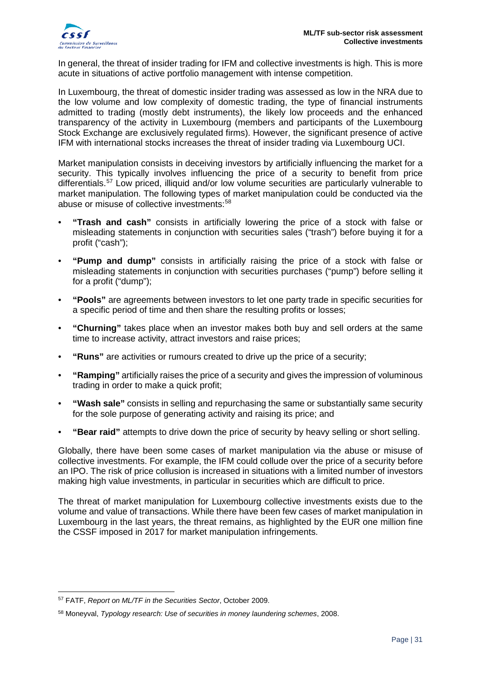

In general, the threat of insider trading for IFM and collective investments is high. This is more acute in situations of active portfolio management with intense competition.

In Luxembourg, the threat of domestic insider trading was assessed as low in the NRA due to the low volume and low complexity of domestic trading, the type of financial instruments admitted to trading (mostly debt instruments), the likely low proceeds and the enhanced transparency of the activity in Luxembourg (members and participants of the Luxembourg Stock Exchange are exclusively regulated firms). However, the significant presence of active IFM with international stocks increases the threat of insider trading via Luxembourg UCI.

Market manipulation consists in deceiving investors by artificially influencing the market for a security. This typically involves influencing the price of a security to benefit from price differentials.[57](#page-30-0) Low priced, illiquid and/or low volume securities are particularly vulnerable to market manipulation. The following types of market manipulation could be conducted via the abuse or misuse of collective investments:[58](#page-30-1)

- **"Trash and cash"** consists in artificially lowering the price of a stock with false or misleading statements in conjunction with securities sales ("trash") before buying it for a profit ("cash");
- **"Pump and dump"** consists in artificially raising the price of a stock with false or misleading statements in conjunction with securities purchases ("pump") before selling it for a profit ("dump");
- **"Pools"** are agreements between investors to let one party trade in specific securities for a specific period of time and then share the resulting profits or losses;
- **"Churning"** takes place when an investor makes both buy and sell orders at the same time to increase activity, attract investors and raise prices;
- **"Runs"** are activities or rumours created to drive up the price of a security;
- **"Ramping"** artificially raises the price of a security and gives the impression of voluminous trading in order to make a quick profit;
- **"Wash sale"** consists in selling and repurchasing the same or substantially same security for the sole purpose of generating activity and raising its price; and
- **"Bear raid"** attempts to drive down the price of security by heavy selling or short selling.

Globally, there have been some cases of market manipulation via the abuse or misuse of collective investments. For example, the IFM could collude over the price of a security before an IPO. The risk of price collusion is increased in situations with a limited number of investors making high value investments, in particular in securities which are difficult to price.

The threat of market manipulation for Luxembourg collective investments exists due to the volume and value of transactions. While there have been few cases of market manipulation in Luxembourg in the last years, the threat remains, as highlighted by the EUR one million fine the CSSF imposed in 2017 for market manipulation infringements.

<span id="page-30-0"></span><sup>-</sup><sup>57</sup> FATF, *Report on ML/TF in the Securities Sector*, October 2009.

<span id="page-30-1"></span><sup>58</sup> Moneyval, *Typology research: Use of securities in money laundering schemes*, 2008.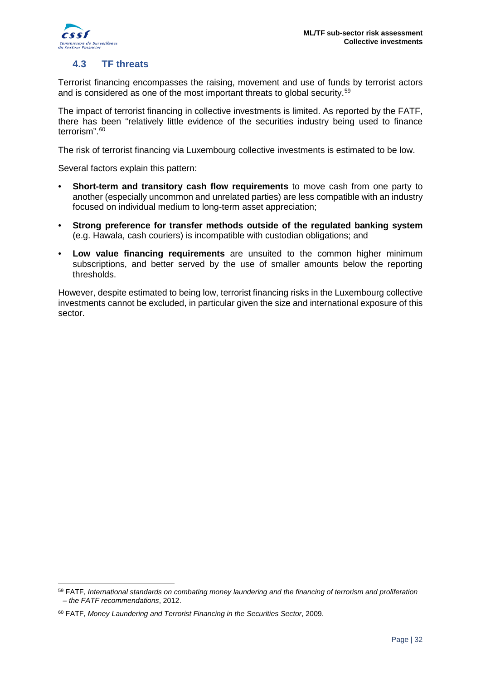

<u>.</u>

### <span id="page-31-0"></span>**4.3 TF threats**

Terrorist financing encompasses the raising, movement and use of funds by terrorist actors and is considered as one of the most important threats to global security.<sup>[59](#page-31-2)</sup>

The impact of terrorist financing in collective investments is limited. As reported by the FATF, there has been "relatively little evidence of the securities industry being used to finance terrorism".[60](#page-31-3)

The risk of terrorist financing via Luxembourg collective investments is estimated to be low.

Several factors explain this pattern:

- **Short-term and transitory cash flow requirements** to move cash from one party to another (especially uncommon and unrelated parties) are less compatible with an industry focused on individual medium to long-term asset appreciation;
- **Strong preference for transfer methods outside of the regulated banking system** (e.g. Hawala, cash couriers) is incompatible with custodian obligations; and
- **Low value financing requirements** are unsuited to the common higher minimum subscriptions, and better served by the use of smaller amounts below the reporting thresholds.

<span id="page-31-1"></span>However, despite estimated to being low, terrorist financing risks in the Luxembourg collective investments cannot be excluded, in particular given the size and international exposure of this sector.

<span id="page-31-2"></span><sup>59</sup> FATF, *International standards on combating money laundering and the financing of terrorism and proliferation – the FATF recommendations*, 2012.

<span id="page-31-3"></span><sup>60</sup> FATF, *Money Laundering and Terrorist Financing in the Securities Sector*, 2009.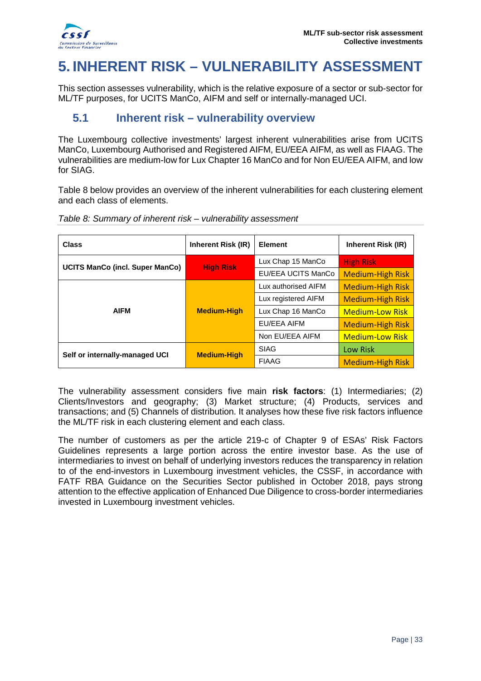

# **5. INHERENT RISK – VULNERABILITY ASSESSMENT**

This section assesses vulnerability, which is the relative exposure of a sector or sub-sector for ML/TF purposes, for UCITS ManCo, AIFM and self or internally-managed UCI.

### <span id="page-32-0"></span>**5.1 Inherent risk – vulnerability overview**

The Luxembourg collective investments' largest inherent vulnerabilities arise from UCITS ManCo, Luxembourg Authorised and Registered AIFM, EU/EEA AIFM, as well as FIAAG. The vulnerabilities are medium-low for Lux Chapter 16 ManCo and for Non EU/EEA AIFM, and low for SIAG.

Table 8 below provides an overview of the inherent vulnerabilities for each clustering element and each class of elements.

| <b>Class</b>                           | <b>Inherent Risk (IR)</b> | <b>Element</b>      | Inherent Risk (IR)      |
|----------------------------------------|---------------------------|---------------------|-------------------------|
|                                        | <b>High Risk</b>          | Lux Chap 15 ManCo   | <b>High Risk</b>        |
| <b>UCITS ManCo (incl. Super ManCo)</b> |                           | EU/EEA UCITS ManCo  | <b>Medium-High Risk</b> |
|                                        |                           | Lux authorised AIFM | <b>Medium-High Risk</b> |
|                                        | <b>Medium-High</b>        | Lux registered AIFM | <b>Medium-High Risk</b> |
| <b>AIFM</b>                            |                           | Lux Chap 16 ManCo   | <b>Medium-Low Risk</b>  |
|                                        |                           | EU/EEA AIFM         | <b>Medium-High Risk</b> |
|                                        |                           | Non EU/EEA AIFM     | <b>Medium-Low Risk</b>  |
|                                        | <b>Medium-High</b>        | <b>SIAG</b>         | <b>Low Risk</b>         |
| Self or internally-managed UCI         |                           | <b>FIAAG</b>        | <b>Medium-High Risk</b> |

*Table 8: Summary of inherent risk – vulnerability assessment*

The vulnerability assessment considers five main **risk factors**: (1) Intermediaries; (2) Clients/Investors and geography; (3) Market structure; (4) Products, services and transactions; and (5) Channels of distribution. It analyses how these five risk factors influence the ML/TF risk in each clustering element and each class.

<span id="page-32-1"></span>The number of customers as per the article 219-c of Chapter 9 of ESAs' Risk Factors Guidelines represents a large portion across the entire investor base. As the use of intermediaries to invest on behalf of underlying investors reduces the transparency in relation to of the end-investors in Luxembourg investment vehicles, the CSSF, in accordance with FATF RBA Guidance on the Securities Sector published in October 2018, pays strong attention to the effective application of Enhanced Due Diligence to cross-border intermediaries invested in Luxembourg investment vehicles.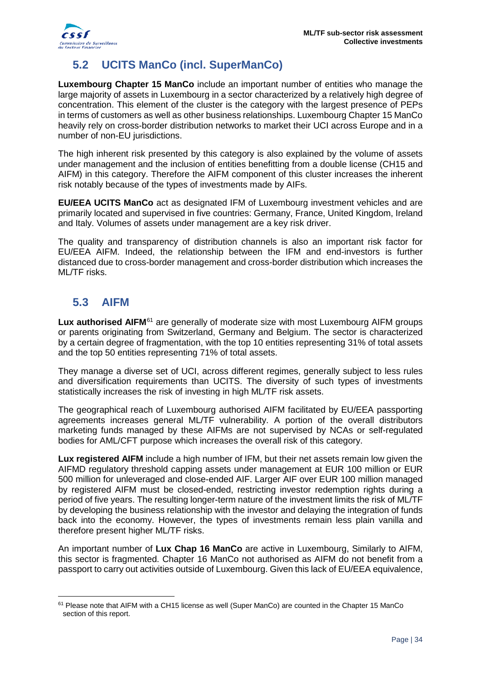

# **5.2 UCITS ManCo (incl. SuperManCo)**

**Luxembourg Chapter 15 ManCo** include an important number of entities who manage the large majority of assets in Luxembourg in a sector characterized by a relatively high degree of concentration. This element of the cluster is the category with the largest presence of PEPs in terms of customers as well as other business relationships. Luxembourg Chapter 15 ManCo heavily rely on cross-border distribution networks to market their UCI across Europe and in a number of non-EU jurisdictions.

The high inherent risk presented by this category is also explained by the volume of assets under management and the inclusion of entities benefitting from a double license (CH15 and AIFM) in this category. Therefore the AIFM component of this cluster increases the inherent risk notably because of the types of investments made by AIFs.

**EU/EEA UCITS ManCo** act as designated IFM of Luxembourg investment vehicles and are primarily located and supervised in five countries: Germany, France, United Kingdom, Ireland and Italy. Volumes of assets under management are a key risk driver.

The quality and transparency of distribution channels is also an important risk factor for EU/EEA AIFM. Indeed, the relationship between the IFM and end-investors is further distanced due to cross-border management and cross-border distribution which increases the ML/TF risks.

# <span id="page-33-0"></span>**5.3 AIFM**

-

**Lux authorised AIFM**[61](#page-33-1) are generally of moderate size with most Luxembourg AIFM groups or parents originating from Switzerland, Germany and Belgium. The sector is characterized by a certain degree of fragmentation, with the top 10 entities representing 31% of total assets and the top 50 entities representing 71% of total assets.

They manage a diverse set of UCI, across different regimes, generally subject to less rules and diversification requirements than UCITS. The diversity of such types of investments statistically increases the risk of investing in high ML/TF risk assets.

The geographical reach of Luxembourg authorised AIFM facilitated by EU/EEA passporting agreements increases general ML/TF vulnerability. A portion of the overall distributors marketing funds managed by these AIFMs are not supervised by NCAs or self-regulated bodies for AML/CFT purpose which increases the overall risk of this category.

**Lux registered AIFM** include a high number of IFM, but their net assets remain low given the AIFMD regulatory threshold capping assets under management at EUR 100 million or EUR 500 million for unleveraged and close-ended AIF. Larger AIF over EUR 100 million managed by registered AIFM must be closed-ended, restricting investor redemption rights during a period of five years. The resulting longer-term nature of the investment limits the risk of ML/TF by developing the business relationship with the investor and delaying the integration of funds back into the economy. However, the types of investments remain less plain vanilla and therefore present higher ML/TF risks.

An important number of **Lux Chap 16 ManCo** are active in Luxembourg, Similarly to AIFM, this sector is fragmented. Chapter 16 ManCo not authorised as AIFM do not benefit from a passport to carry out activities outside of Luxembourg. Given this lack of EU/EEA equivalence,

<span id="page-33-1"></span><sup>61</sup> Please note that AIFM with a CH15 license as well (Super ManCo) are counted in the Chapter 15 ManCo section of this report.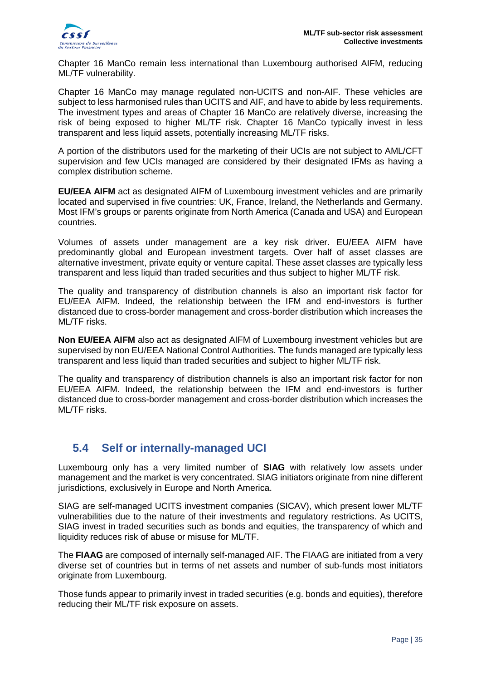Chapter 16 ManCo remain less international than Luxembourg authorised AIFM, reducing ML/TF vulnerability.

Chapter 16 ManCo may manage regulated non-UCITS and non-AIF. These vehicles are subject to less harmonised rules than UCITS and AIF, and have to abide by less requirements. The investment types and areas of Chapter 16 ManCo are relatively diverse, increasing the risk of being exposed to higher ML/TF risk. Chapter 16 ManCo typically invest in less transparent and less liquid assets, potentially increasing ML/TF risks.

A portion of the distributors used for the marketing of their UCIs are not subject to AML/CFT supervision and few UCIs managed are considered by their designated IFMs as having a complex distribution scheme.

**EU/EEA AIFM** act as designated AIFM of Luxembourg investment vehicles and are primarily located and supervised in five countries: UK, France, Ireland, the Netherlands and Germany. Most IFM's groups or parents originate from North America (Canada and USA) and European countries.

Volumes of assets under management are a key risk driver. EU/EEA AIFM have predominantly global and European investment targets. Over half of asset classes are alternative investment, private equity or venture capital. These asset classes are typically less transparent and less liquid than traded securities and thus subject to higher ML/TF risk.

The quality and transparency of distribution channels is also an important risk factor for EU/EEA AIFM. Indeed, the relationship between the IFM and end-investors is further distanced due to cross-border management and cross-border distribution which increases the ML/TF risks.

**Non EU/EEA AIFM** also act as designated AIFM of Luxembourg investment vehicles but are supervised by non EU/EEA National Control Authorities. The funds managed are typically less transparent and less liquid than traded securities and subject to higher ML/TF risk.

The quality and transparency of distribution channels is also an important risk factor for non EU/EEA AIFM. Indeed, the relationship between the IFM and end-investors is further distanced due to cross-border management and cross-border distribution which increases the ML/TF risks.

# <span id="page-34-0"></span>**5.4 Self or internally-managed UCI**

Luxembourg only has a very limited number of **SIAG** with relatively low assets under management and the market is very concentrated. SIAG initiators originate from nine different jurisdictions, exclusively in Europe and North America.

SIAG are self-managed UCITS investment companies (SICAV), which present lower ML/TF vulnerabilities due to the nature of their investments and regulatory restrictions. As UCITS, SIAG invest in traded securities such as bonds and equities, the transparency of which and liquidity reduces risk of abuse or misuse for ML/TF.

The **FIAAG** are composed of internally self-managed AIF. The FIAAG are initiated from a very diverse set of countries but in terms of net assets and number of sub-funds most initiators originate from Luxembourg.

Those funds appear to primarily invest in traded securities (e.g. bonds and equities), therefore reducing their ML/TF risk exposure on assets.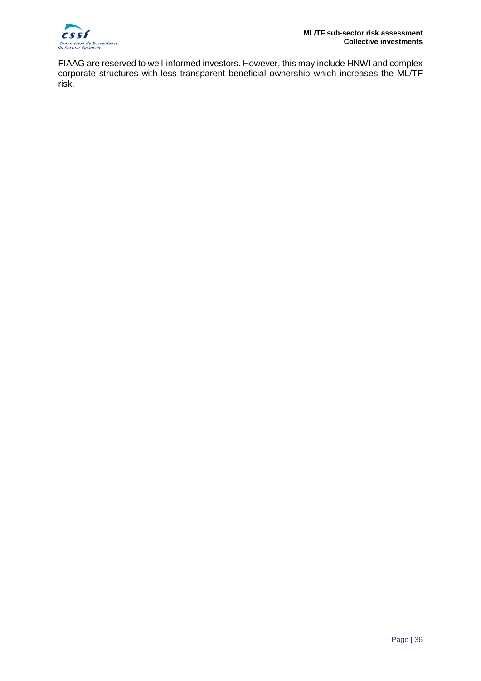

FIAAG are reserved to well-informed investors. However, this may include HNWI and complex corporate structures with less transparent beneficial ownership which increases the ML/TF risk.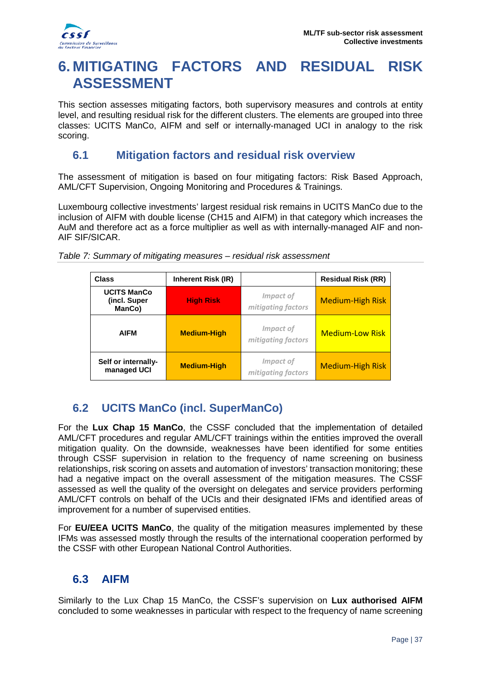

# <span id="page-36-0"></span>**6. MITIGATING FACTORS AND RESIDUAL RISK ASSESSMENT**

This section assesses mitigating factors, both supervisory measures and controls at entity level, and resulting residual risk for the different clusters. The elements are grouped into three classes: UCITS ManCo, AIFM and self or internally-managed UCI in analogy to the risk scoring.

### <span id="page-36-1"></span>**6.1 Mitigation factors and residual risk overview**

The assessment of mitigation is based on four mitigating factors: Risk Based Approach, AML/CFT Supervision, Ongoing Monitoring and Procedures & Trainings.

Luxembourg collective investments' largest residual risk remains in UCITS ManCo due to the inclusion of AIFM with double license (CH15 and AIFM) in that category which increases the AuM and therefore act as a force multiplier as well as with internally-managed AIF and non-AIF SIF/SICAR.

| <b>Class</b>                                 | <b>Inherent Risk (IR)</b> |                                 | <b>Residual Risk (RR)</b> |
|----------------------------------------------|---------------------------|---------------------------------|---------------------------|
| <b>UCITS ManCo</b><br>(incl. Super<br>ManCo) | <b>High Risk</b>          | Impact of<br>mitigating factors | <b>Medium-High Risk</b>   |
| <b>AIFM</b>                                  | <b>Medium-High</b>        | Impact of<br>mitigating factors | <b>Medium-Low Risk</b>    |
| Self or internally-<br>managed UCI           | <b>Medium-High</b>        | Impact of<br>mitigating factors | <b>Medium-High Risk</b>   |

*Table 7: Summary of mitigating measures – residual risk assessment*

# <span id="page-36-2"></span>**6.2 UCITS ManCo (incl. SuperManCo)**

For the **Lux Chap 15 ManCo**, the CSSF concluded that the implementation of detailed AML/CFT procedures and regular AML/CFT trainings within the entities improved the overall mitigation quality. On the downside, weaknesses have been identified for some entities through CSSF supervision in relation to the frequency of name screening on business relationships, risk scoring on assets and automation of investors' transaction monitoring; these had a negative impact on the overall assessment of the mitigation measures. The CSSF assessed as well the quality of the oversight on delegates and service providers performing AML/CFT controls on behalf of the UCIs and their designated IFMs and identified areas of improvement for a number of supervised entities.

For **EU/EEA UCITS ManCo**, the quality of the mitigation measures implemented by these IFMs was assessed mostly through the results of the international cooperation performed by the CSSF with other European National Control Authorities.

# <span id="page-36-3"></span>**6.3 AIFM**

Similarly to the Lux Chap 15 ManCo, the CSSF's supervision on **Lux authorised AIFM** concluded to some weaknesses in particular with respect to the frequency of name screening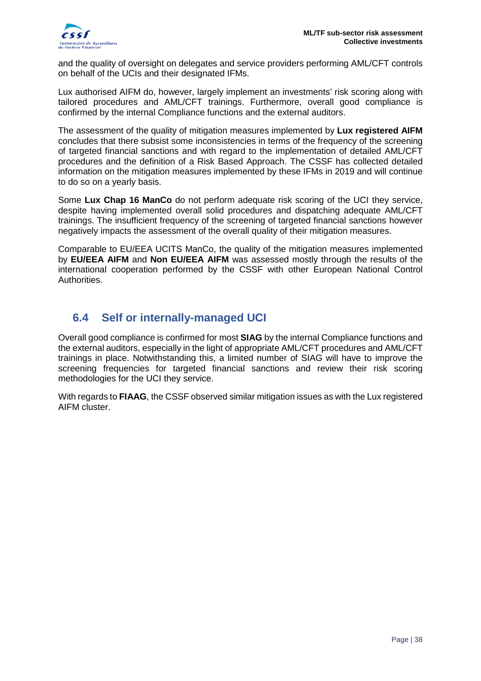and the quality of oversight on delegates and service providers performing AML/CFT controls on behalf of the UCIs and their designated IFMs.

Lux authorised AIFM do, however, largely implement an investments' risk scoring along with tailored procedures and AML/CFT trainings. Furthermore, overall good compliance is confirmed by the internal Compliance functions and the external auditors.

The assessment of the quality of mitigation measures implemented by **Lux registered AIFM** concludes that there subsist some inconsistencies in terms of the frequency of the screening of targeted financial sanctions and with regard to the implementation of detailed AML/CFT procedures and the definition of a Risk Based Approach. The CSSF has collected detailed information on the mitigation measures implemented by these IFMs in 2019 and will continue to do so on a yearly basis.

Some **Lux Chap 16 ManCo** do not perform adequate risk scoring of the UCI they service, despite having implemented overall solid procedures and dispatching adequate AML/CFT trainings. The insufficient frequency of the screening of targeted financial sanctions however negatively impacts the assessment of the overall quality of their mitigation measures.

Comparable to EU/EEA UCITS ManCo, the quality of the mitigation measures implemented by **EU/EEA AIFM** and **Non EU/EEA AIFM** was assessed mostly through the results of the international cooperation performed by the CSSF with other European National Control Authorities.

# <span id="page-37-0"></span>**6.4 Self or internally-managed UCI**

Overall good compliance is confirmed for most **SIAG** by the internal Compliance functions and the external auditors, especially in the light of appropriate AML/CFT procedures and AML/CFT trainings in place. Notwithstanding this, a limited number of SIAG will have to improve the screening frequencies for targeted financial sanctions and review their risk scoring methodologies for the UCI they service.

With regards to **FIAAG**, the CSSF observed similar mitigation issues as with the Lux registered AIFM cluster.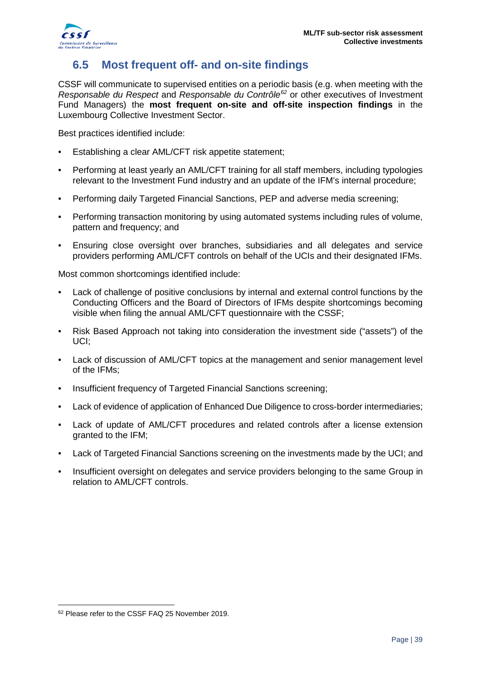

# <span id="page-38-0"></span>**6.5 Most frequent off- and on-site findings**

CSSF will communicate to supervised entities on a periodic basis (e.g. when meeting with the *Responsable du Respect* and *Responsable du Contrôle[62](#page-38-1)* or other executives of Investment Fund Managers) the **most frequent on-site and off-site inspection findings** in the Luxembourg Collective Investment Sector.

Best practices identified include:

- Establishing a clear AML/CFT risk appetite statement;
- Performing at least yearly an AML/CFT training for all staff members, including typologies relevant to the Investment Fund industry and an update of the IFM's internal procedure;
- Performing daily Targeted Financial Sanctions, PEP and adverse media screening;
- Performing transaction monitoring by using automated systems including rules of volume, pattern and frequency; and
- Ensuring close oversight over branches, subsidiaries and all delegates and service providers performing AML/CFT controls on behalf of the UCIs and their designated IFMs.

Most common shortcomings identified include:

- Lack of challenge of positive conclusions by internal and external control functions by the Conducting Officers and the Board of Directors of IFMs despite shortcomings becoming visible when filing the annual AML/CFT questionnaire with the CSSF;
- Risk Based Approach not taking into consideration the investment side ("assets") of the UCI;
- Lack of discussion of AML/CFT topics at the management and senior management level of the IFMs;
- Insufficient frequency of Targeted Financial Sanctions screening:
- Lack of evidence of application of Enhanced Due Diligence to cross-border intermediaries;
- Lack of update of AML/CFT procedures and related controls after a license extension granted to the IFM;
- Lack of Targeted Financial Sanctions screening on the investments made by the UCI; and
- Insufficient oversight on delegates and service providers belonging to the same Group in relation to AML/CFT controls.

<u>.</u>

<span id="page-38-1"></span><sup>&</sup>lt;sup>62</sup> Please refer to the CSSF FAQ 25 November 2019.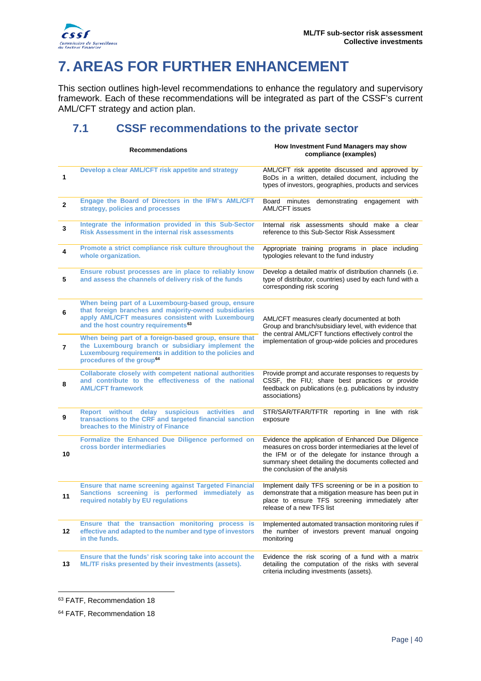

# <span id="page-39-0"></span>**7. AREAS FOR FURTHER ENHANCEMENT**

This section outlines high-level recommendations to enhance the regulatory and supervisory framework. Each of these recommendations will be integrated as part of the CSSF's current AML/CFT strategy and action plan.

# <span id="page-39-1"></span>**7.1 CSSF recommendations to the private sector**

| <b>Recommendations</b> |                                                                                                                                                                                                                      | How Investment Fund Managers may show<br>compliance (examples)                                                                                                                                                                                              |  |
|------------------------|----------------------------------------------------------------------------------------------------------------------------------------------------------------------------------------------------------------------|-------------------------------------------------------------------------------------------------------------------------------------------------------------------------------------------------------------------------------------------------------------|--|
| 1                      | Develop a clear AML/CFT risk appetite and strategy                                                                                                                                                                   | AML/CFT risk appetite discussed and approved by<br>BoDs in a written, detailed document, including the<br>types of investors, geographies, products and services                                                                                            |  |
| $\mathbf{2}$           | Engage the Board of Directors in the IFM's AML/CFT<br>strategy, policies and processes                                                                                                                               | Board minutes<br>demonstrating engagement with<br>AML/CFT issues                                                                                                                                                                                            |  |
| 3                      | Integrate the information provided in this Sub-Sector<br><b>Risk Assessment in the internal risk assessments</b>                                                                                                     | Internal risk assessments should make a clear<br>reference to this Sub-Sector Risk Assessment                                                                                                                                                               |  |
| 4                      | Promote a strict compliance risk culture throughout the<br>whole organization.                                                                                                                                       | Appropriate training programs in place including<br>typologies relevant to the fund industry                                                                                                                                                                |  |
| 5                      | Ensure robust processes are in place to reliably know<br>and assess the channels of delivery risk of the funds                                                                                                       | Develop a detailed matrix of distribution channels (i.e.<br>type of distributor, countries) used by each fund with a<br>corresponding risk scoring                                                                                                          |  |
| 6                      | When being part of a Luxembourg-based group, ensure<br>that foreign branches and majority-owned subsidiaries<br>apply AML/CFT measures consistent with Luxembourg<br>and the host country requirements <sup>63</sup> | AML/CFT measures clearly documented at both<br>Group and branch/subsidiary level, with evidence that<br>the central AML/CFT functions effectively control the<br>implementation of group-wide policies and procedures                                       |  |
| 7                      | When being part of a foreign-based group, ensure that<br>the Luxembourg branch or subsidiary implement the<br>Luxembourg requirements in addition to the policies and<br>procedures of the group <sup>64</sup>       |                                                                                                                                                                                                                                                             |  |
| 8                      | Collaborate closely with competent national authorities<br>and contribute to the effectiveness of the national<br><b>AML/CFT framework</b>                                                                           | Provide prompt and accurate responses to requests by<br>CSSF, the FIU; share best practices or provide<br>feedback on publications (e.g. publications by industry<br>associations)                                                                          |  |
| 9                      | Report without delay suspicious<br><b>activities</b><br>and<br>transactions to the CRF and targeted financial sanction<br>breaches to the Ministry of Finance                                                        | STR/SAR/TFAR/TFTR reporting in line with risk<br>exposure                                                                                                                                                                                                   |  |
| 10                     | Formalize the Enhanced Due Diligence performed on<br>cross border intermediaries                                                                                                                                     | Evidence the application of Enhanced Due Diligence<br>measures on cross border intermediaries at the level of<br>the IFM or of the delegate for instance through a<br>summary sheet detailing the documents collected and<br>the conclusion of the analysis |  |
| 11                     | <b>Ensure that name screening against Targeted Financial</b><br>Sanctions screening is performed immediately as<br>required notably by EU regulations                                                                | Implement daily TFS screening or be in a position to<br>demonstrate that a mitigation measure has been put in<br>place to ensure TFS screening immediately after<br>release of a new IFS list                                                               |  |
| 12                     | Ensure that the transaction monitoring process is<br>effective and adapted to the number and type of investors<br>in the funds.                                                                                      | Implemented automated transaction monitoring rules if<br>the number of investors prevent manual ongoing<br>monitoring                                                                                                                                       |  |
| 13                     | Ensure that the funds' risk scoring take into account the<br>ML/TF risks presented by their investments (assets).                                                                                                    | Evidence the risk scoring of a fund with a matrix<br>detailing the computation of the risks with several<br>criteria including investments (assets).                                                                                                        |  |

<span id="page-39-2"></span><sup>63</sup> FATF, Recommendation 18

-

<span id="page-39-3"></span><sup>64</sup> FATF, Recommendation 18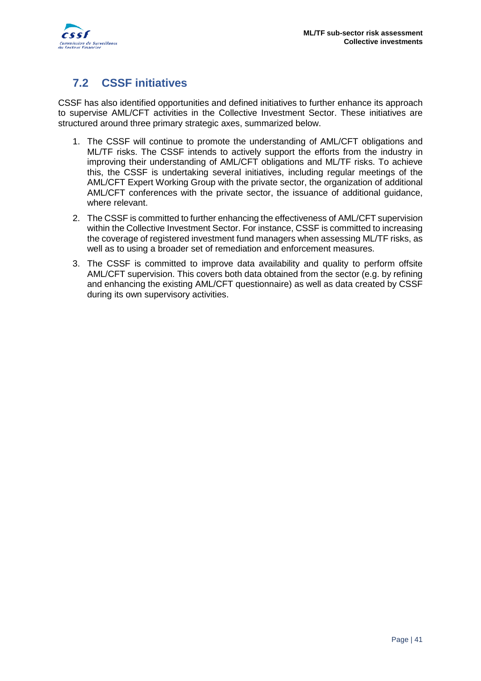

# <span id="page-40-0"></span>**7.2 CSSF initiatives**

CSSF has also identified opportunities and defined initiatives to further enhance its approach to supervise AML/CFT activities in the Collective Investment Sector. These initiatives are structured around three primary strategic axes, summarized below.

- 1. The CSSF will continue to promote the understanding of AML/CFT obligations and ML/TF risks. The CSSF intends to actively support the efforts from the industry in improving their understanding of AML/CFT obligations and ML/TF risks. To achieve this, the CSSF is undertaking several initiatives, including regular meetings of the AML/CFT Expert Working Group with the private sector, the organization of additional AML/CFT conferences with the private sector, the issuance of additional guidance, where relevant.
- 2. The CSSF is committed to further enhancing the effectiveness of AML/CFT supervision within the Collective Investment Sector. For instance, CSSF is committed to increasing the coverage of registered investment fund managers when assessing ML/TF risks, as well as to using a broader set of remediation and enforcement measures.
- 3. The CSSF is committed to improve data availability and quality to perform offsite AML/CFT supervision. This covers both data obtained from the sector (e.g. by refining and enhancing the existing AML/CFT questionnaire) as well as data created by CSSF during its own supervisory activities.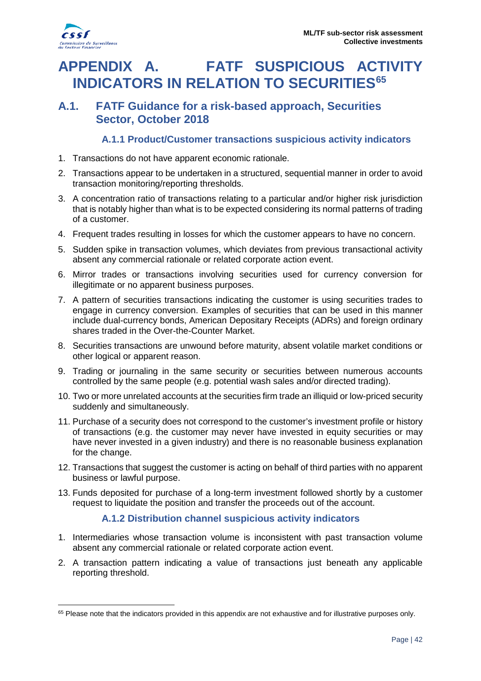

<u>.</u>

# <span id="page-41-0"></span>**APPENDIX A. FATF SUSPICIOUS ACTIVITY INDICATORS IN RELATION TO SECURITIES[65](#page-41-4)**

### <span id="page-41-1"></span>**A.1. FATF Guidance for a risk-based approach, Securities Sector, October 2018**

#### **A.1.1 Product/Customer transactions suspicious activity indicators**

- <span id="page-41-2"></span>1. Transactions do not have apparent economic rationale.
- 2. Transactions appear to be undertaken in a structured, sequential manner in order to avoid transaction monitoring/reporting thresholds.
- 3. A concentration ratio of transactions relating to a particular and/or higher risk jurisdiction that is notably higher than what is to be expected considering its normal patterns of trading of a customer.
- 4. Frequent trades resulting in losses for which the customer appears to have no concern.
- 5. Sudden spike in transaction volumes, which deviates from previous transactional activity absent any commercial rationale or related corporate action event.
- 6. Mirror trades or transactions involving securities used for currency conversion for illegitimate or no apparent business purposes.
- 7. A pattern of securities transactions indicating the customer is using securities trades to engage in currency conversion. Examples of securities that can be used in this manner include dual-currency bonds, American Depositary Receipts (ADRs) and foreign ordinary shares traded in the Over-the-Counter Market.
- 8. Securities transactions are unwound before maturity, absent volatile market conditions or other logical or apparent reason.
- 9. Trading or journaling in the same security or securities between numerous accounts controlled by the same people (e.g. potential wash sales and/or directed trading).
- 10. Two or more unrelated accounts at the securities firm trade an illiquid or low-priced security suddenly and simultaneously.
- 11. Purchase of a security does not correspond to the customer's investment profile or history of transactions (e.g. the customer may never have invested in equity securities or may have never invested in a given industry) and there is no reasonable business explanation for the change.
- 12. Transactions that suggest the customer is acting on behalf of third parties with no apparent business or lawful purpose.
- 13. Funds deposited for purchase of a long-term investment followed shortly by a customer request to liquidate the position and transfer the proceeds out of the account.

#### **A.1.2 Distribution channel suspicious activity indicators**

- <span id="page-41-3"></span>1. Intermediaries whose transaction volume is inconsistent with past transaction volume absent any commercial rationale or related corporate action event.
- 2. A transaction pattern indicating a value of transactions just beneath any applicable reporting threshold.

<span id="page-41-4"></span><sup>&</sup>lt;sup>65</sup> Please note that the indicators provided in this appendix are not exhaustive and for illustrative purposes only.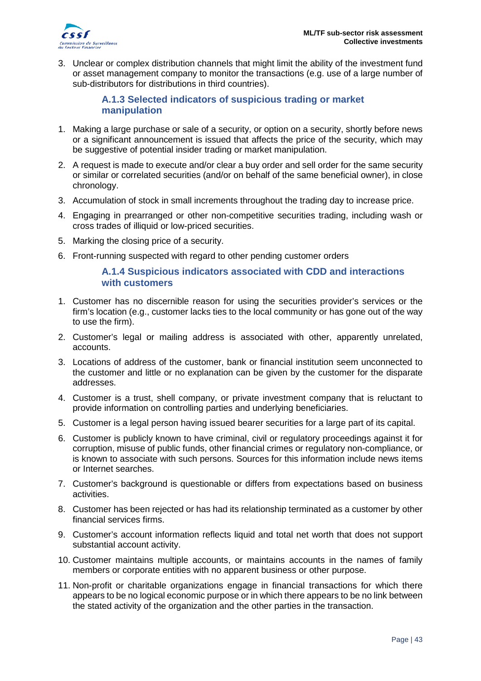

3. Unclear or complex distribution channels that might limit the ability of the investment fund or asset management company to monitor the transactions (e.g. use of a large number of sub-distributors for distributions in third countries).

#### **A.1.3 Selected indicators of suspicious trading or market manipulation**

- <span id="page-42-0"></span>1. Making a large purchase or sale of a security, or option on a security, shortly before news or a significant announcement is issued that affects the price of the security, which may be suggestive of potential insider trading or market manipulation.
- 2. A request is made to execute and/or clear a buy order and sell order for the same security or similar or correlated securities (and/or on behalf of the same beneficial owner), in close chronology.
- 3. Accumulation of stock in small increments throughout the trading day to increase price.
- 4. Engaging in prearranged or other non-competitive securities trading, including wash or cross trades of illiquid or low-priced securities.
- 5. Marking the closing price of a security.
- <span id="page-42-1"></span>6. Front-running suspected with regard to other pending customer orders

#### **A.1.4 Suspicious indicators associated with CDD and interactions with customers**

- 1. Customer has no discernible reason for using the securities provider's services or the firm's location (e.g., customer lacks ties to the local community or has gone out of the way to use the firm).
- 2. Customer's legal or mailing address is associated with other, apparently unrelated, accounts.
- 3. Locations of address of the customer, bank or financial institution seem unconnected to the customer and little or no explanation can be given by the customer for the disparate addresses.
- 4. Customer is a trust, shell company, or private investment company that is reluctant to provide information on controlling parties and underlying beneficiaries.
- 5. Customer is a legal person having issued bearer securities for a large part of its capital.
- 6. Customer is publicly known to have criminal, civil or regulatory proceedings against it for corruption, misuse of public funds, other financial crimes or regulatory non-compliance, or is known to associate with such persons. Sources for this information include news items or Internet searches.
- 7. Customer's background is questionable or differs from expectations based on business activities.
- 8. Customer has been rejected or has had its relationship terminated as a customer by other financial services firms.
- 9. Customer's account information reflects liquid and total net worth that does not support substantial account activity.
- 10. Customer maintains multiple accounts, or maintains accounts in the names of family members or corporate entities with no apparent business or other purpose.
- 11. Non-profit or charitable organizations engage in financial transactions for which there appears to be no logical economic purpose or in which there appears to be no link between the stated activity of the organization and the other parties in the transaction.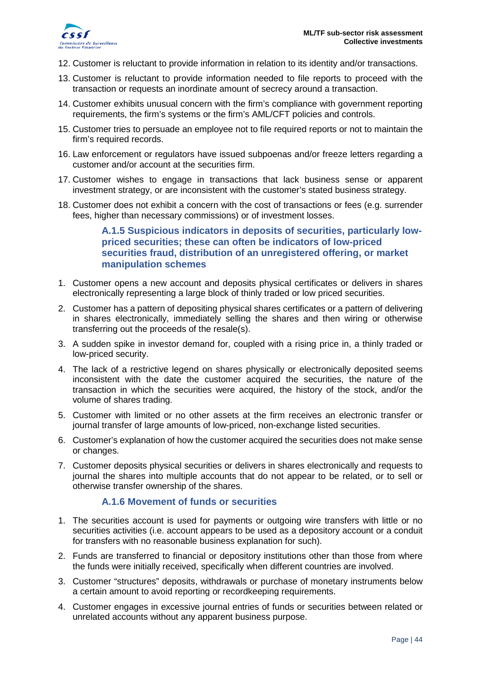

- 12. Customer is reluctant to provide information in relation to its identity and/or transactions.
- 13. Customer is reluctant to provide information needed to file reports to proceed with the transaction or requests an inordinate amount of secrecy around a transaction.
- 14. Customer exhibits unusual concern with the firm's compliance with government reporting requirements, the firm's systems or the firm's AML/CFT policies and controls.
- 15. Customer tries to persuade an employee not to file required reports or not to maintain the firm's required records.
- 16. Law enforcement or regulators have issued subpoenas and/or freeze letters regarding a customer and/or account at the securities firm.
- 17. Customer wishes to engage in transactions that lack business sense or apparent investment strategy, or are inconsistent with the customer's stated business strategy.
- <span id="page-43-0"></span>18. Customer does not exhibit a concern with the cost of transactions or fees (e.g. surrender fees, higher than necessary commissions) or of investment losses.

**A.1.5 Suspicious indicators in deposits of securities, particularly lowpriced securities; these can often be indicators of low-priced securities fraud, distribution of an unregistered offering, or market manipulation schemes**

- 1. Customer opens a new account and deposits physical certificates or delivers in shares electronically representing a large block of thinly traded or low priced securities.
- 2. Customer has a pattern of depositing physical shares certificates or a pattern of delivering in shares electronically, immediately selling the shares and then wiring or otherwise transferring out the proceeds of the resale(s).
- 3. A sudden spike in investor demand for, coupled with a rising price in, a thinly traded or low-priced security.
- 4. The lack of a restrictive legend on shares physically or electronically deposited seems inconsistent with the date the customer acquired the securities, the nature of the transaction in which the securities were acquired, the history of the stock, and/or the volume of shares trading.
- 5. Customer with limited or no other assets at the firm receives an electronic transfer or journal transfer of large amounts of low-priced, non-exchange listed securities.
- 6. Customer's explanation of how the customer acquired the securities does not make sense or changes.
- 7. Customer deposits physical securities or delivers in shares electronically and requests to journal the shares into multiple accounts that do not appear to be related, or to sell or otherwise transfer ownership of the shares.

#### **A.1.6 Movement of funds or securities**

- <span id="page-43-1"></span>1. The securities account is used for payments or outgoing wire transfers with little or no securities activities (i.e. account appears to be used as a depository account or a conduit for transfers with no reasonable business explanation for such).
- 2. Funds are transferred to financial or depository institutions other than those from where the funds were initially received, specifically when different countries are involved.
- 3. Customer "structures" deposits, withdrawals or purchase of monetary instruments below a certain amount to avoid reporting or recordkeeping requirements.
- 4. Customer engages in excessive journal entries of funds or securities between related or unrelated accounts without any apparent business purpose.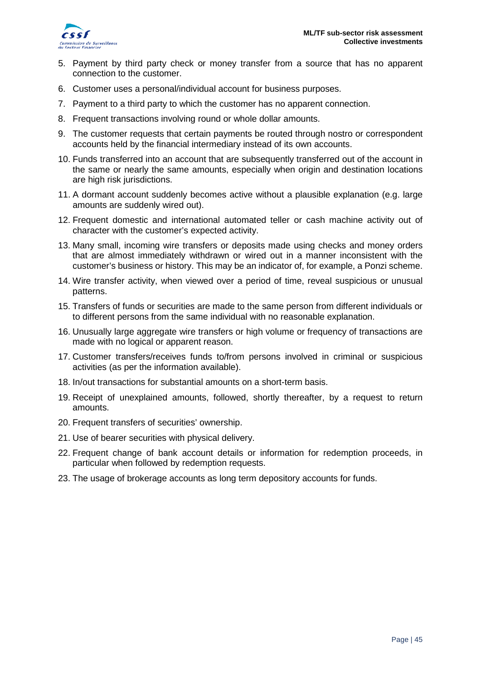

- 5. Payment by third party check or money transfer from a source that has no apparent connection to the customer.
- 6. Customer uses a personal/individual account for business purposes.
- 7. Payment to a third party to which the customer has no apparent connection.
- 8. Frequent transactions involving round or whole dollar amounts.
- 9. The customer requests that certain payments be routed through nostro or correspondent accounts held by the financial intermediary instead of its own accounts.
- 10. Funds transferred into an account that are subsequently transferred out of the account in the same or nearly the same amounts, especially when origin and destination locations are high risk jurisdictions.
- 11. A dormant account suddenly becomes active without a plausible explanation (e.g. large amounts are suddenly wired out).
- 12. Frequent domestic and international automated teller or cash machine activity out of character with the customer's expected activity.
- 13. Many small, incoming wire transfers or deposits made using checks and money orders that are almost immediately withdrawn or wired out in a manner inconsistent with the customer's business or history. This may be an indicator of, for example, a Ponzi scheme.
- 14. Wire transfer activity, when viewed over a period of time, reveal suspicious or unusual patterns.
- 15. Transfers of funds or securities are made to the same person from different individuals or to different persons from the same individual with no reasonable explanation.
- 16. Unusually large aggregate wire transfers or high volume or frequency of transactions are made with no logical or apparent reason.
- 17. Customer transfers/receives funds to/from persons involved in criminal or suspicious activities (as per the information available).
- 18. In/out transactions for substantial amounts on a short-term basis.
- 19. Receipt of unexplained amounts, followed, shortly thereafter, by a request to return amounts.
- 20. Frequent transfers of securities' ownership.
- 21. Use of bearer securities with physical delivery.
- 22. Frequent change of bank account details or information for redemption proceeds, in particular when followed by redemption requests.
- 23. The usage of brokerage accounts as long term depository accounts for funds.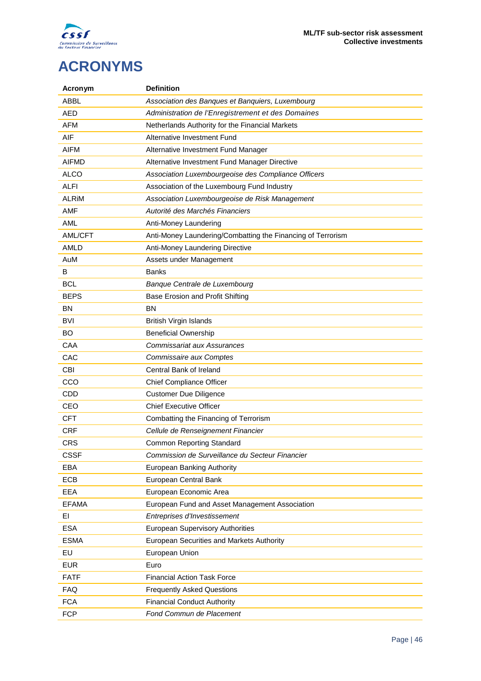

# <span id="page-45-0"></span>**ACRONYMS**

| Acronym      | <b>Definition</b>                                           |
|--------------|-------------------------------------------------------------|
| <b>ABBL</b>  | Association des Banques et Banquiers, Luxembourg            |
| <b>AED</b>   | Administration de l'Enregistrement et des Domaines          |
| <b>AFM</b>   | Netherlands Authority for the Financial Markets             |
| AIF          | Alternative Investment Fund                                 |
| <b>AIFM</b>  | Alternative Investment Fund Manager                         |
| <b>AIFMD</b> | Alternative Investment Fund Manager Directive               |
| <b>ALCO</b>  | Association Luxembourgeoise des Compliance Officers         |
| <b>ALFI</b>  | Association of the Luxembourg Fund Industry                 |
| <b>ALRIM</b> | Association Luxembourgeoise de Risk Management              |
| <b>AMF</b>   | Autorité des Marchés Financiers                             |
| <b>AML</b>   | Anti-Money Laundering                                       |
| AML/CFT      | Anti-Money Laundering/Combatting the Financing of Terrorism |
| AMLD         | Anti-Money Laundering Directive                             |
| AuM          | Assets under Management                                     |
| В            | <b>Banks</b>                                                |
| <b>BCL</b>   | Banque Centrale de Luxembourg                               |
| <b>BEPS</b>  | Base Erosion and Profit Shifting                            |
| <b>BN</b>    | <b>BN</b>                                                   |
| <b>BVI</b>   | <b>British Virgin Islands</b>                               |
| <b>BO</b>    | <b>Beneficial Ownership</b>                                 |
| CAA          | <b>Commissariat aux Assurances</b>                          |
| CAC          | Commissaire aux Comptes                                     |
| <b>CBI</b>   | Central Bank of Ireland                                     |
| CCO          | Chief Compliance Officer                                    |
| <b>CDD</b>   | <b>Customer Due Diligence</b>                               |
| CEO          | <b>Chief Executive Officer</b>                              |
| <b>CFT</b>   | Combatting the Financing of Terrorism                       |
| <b>CRF</b>   | Cellule de Renseignement Financier                          |
| CRS          | <b>Common Reporting Standard</b>                            |
| <b>CSSF</b>  | Commission de Surveillance du Secteur Financier             |
| EBA          | European Banking Authority                                  |
| ECB          | European Central Bank                                       |
| EEA          | European Economic Area                                      |
| <b>EFAMA</b> | European Fund and Asset Management Association              |
| EI           | Entreprises d'Investissement                                |
| <b>ESA</b>   | <b>European Supervisory Authorities</b>                     |
| <b>ESMA</b>  | European Securities and Markets Authority                   |
| EU           | European Union                                              |
| <b>EUR</b>   | Euro                                                        |
| <b>FATF</b>  | <b>Financial Action Task Force</b>                          |
| <b>FAQ</b>   | <b>Frequently Asked Questions</b>                           |
| <b>FCA</b>   | <b>Financial Conduct Authority</b>                          |
| <b>FCP</b>   | Fond Commun de Placement                                    |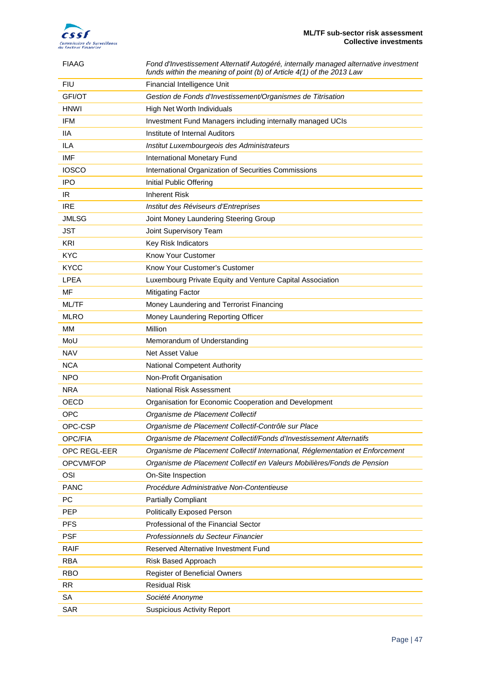

| <b>FIAAG</b>  | Fond d'Investissement Alternatif Autogéré, internally managed alternative investment<br>funds within the meaning of point (b) of Article 4(1) of the 2013 Law |
|---------------|---------------------------------------------------------------------------------------------------------------------------------------------------------------|
| <b>FIU</b>    | Financial Intelligence Unit                                                                                                                                   |
| <b>GFI/OT</b> | Gestion de Fonds d'Investissement/Organismes de Titrisation                                                                                                   |
| <b>HNWI</b>   | High Net Worth Individuals                                                                                                                                    |
| <b>IFM</b>    | Investment Fund Managers including internally managed UCIs                                                                                                    |
| <b>IIA</b>    | Institute of Internal Auditors                                                                                                                                |
| <b>ILA</b>    | Institut Luxembourgeois des Administrateurs                                                                                                                   |
| <b>IMF</b>    | <b>International Monetary Fund</b>                                                                                                                            |
| <b>IOSCO</b>  | International Organization of Securities Commissions                                                                                                          |
| IPO           | Initial Public Offering                                                                                                                                       |
| IR            | <b>Inherent Risk</b>                                                                                                                                          |
| <b>IRE</b>    | Institut des Réviseurs d'Entreprises                                                                                                                          |
| <b>JMLSG</b>  | Joint Money Laundering Steering Group                                                                                                                         |
| JST           | Joint Supervisory Team                                                                                                                                        |
| KRI           | Key Risk Indicators                                                                                                                                           |
| <b>KYC</b>    | Know Your Customer                                                                                                                                            |
| <b>KYCC</b>   | Know Your Customer's Customer                                                                                                                                 |
| <b>LPEA</b>   | Luxembourg Private Equity and Venture Capital Association                                                                                                     |
| MF            | <b>Mitigating Factor</b>                                                                                                                                      |
| ML/TF         | Money Laundering and Terrorist Financing                                                                                                                      |
| MLRO          | Money Laundering Reporting Officer                                                                                                                            |
| MM            | Million                                                                                                                                                       |
| MoU           | Memorandum of Understanding                                                                                                                                   |
| NAV           | Net Asset Value                                                                                                                                               |
| NCA           | National Competent Authority                                                                                                                                  |
| <b>NPO</b>    | Non-Profit Organisation                                                                                                                                       |
| <b>NRA</b>    | National Risk Assessment                                                                                                                                      |
| OECD          | Organisation for Economic Cooperation and Development                                                                                                         |
| <b>OPC</b>    | Organisme de Placement Collectif                                                                                                                              |
| OPC-CSP       | Organisme de Placement Collectif-Contrôle sur Place                                                                                                           |
| OPC/FIA       | Organisme de Placement Collectif/Fonds d'Investissement Alternatifs                                                                                           |
| OPC REGL-EER  | Organisme de Placement Collectif International, Réglementation et Enforcement                                                                                 |
| OPCVM/FOP     | Organisme de Placement Collectif en Valeurs Mobilières/Fonds de Pension                                                                                       |
| OSI           | On-Site Inspection                                                                                                                                            |
| <b>PANC</b>   | Procédure Administrative Non-Contentieuse                                                                                                                     |
| PC            | <b>Partially Compliant</b>                                                                                                                                    |
| <b>PEP</b>    | Politically Exposed Person                                                                                                                                    |
| <b>PFS</b>    | Professional of the Financial Sector                                                                                                                          |
| <b>PSF</b>    | Professionnels du Secteur Financier                                                                                                                           |
|               |                                                                                                                                                               |
| <b>RAIF</b>   | Reserved Alternative Investment Fund                                                                                                                          |
| <b>RBA</b>    | Risk Based Approach                                                                                                                                           |
| <b>RBO</b>    | Register of Beneficial Owners                                                                                                                                 |
| <b>RR</b>     | <b>Residual Risk</b>                                                                                                                                          |
| SA            | Société Anonyme                                                                                                                                               |